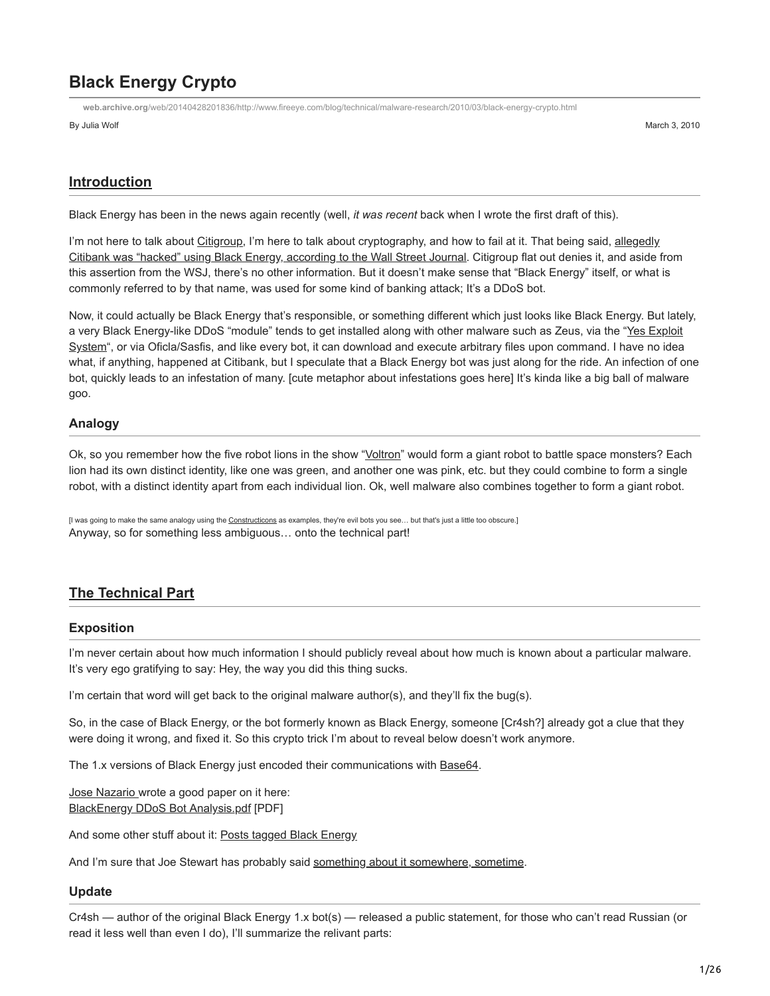# **Black Energy Crypto**

**web.archive.org**[/web/20140428201836/http://www.fireeye.com/blog/technical/malware-research/2010/03/black-energy-crypto.html](https://web.archive.org/web/20140428201836/http://www.fireeye.com/blog/technical/malware-research/2010/03/black-energy-crypto.html)

By Julia Wolf March 3, 2010

## **Introduction**

Black Energy has been in the news again recently (well, *it was recent* back when I wrote the first draft of this).

[I'm not here to talk about C](https://web.archive.org/web/20140428201836/http://online.wsj.com/article/SB126145280820801177.html)[itigrou](https://web.archive.org/web/20140428201836/http://www.google.com/search?q=citigroup+%22black+energy%22)[p, I'm here to talk about cryptography, and how to fail at it. That being said, allegedly](https://web.archive.org/web/20140428201836/http://online.wsj.com/article/SB126145280820801177.html) Citibank was "hacked" using Black Energy, according to the Wall Street Journal. Citigroup flat out denies it, and aside from this assertion from the WSJ, there's no other information. But it doesn't make sense that "Black Energy" itself, or what is commonly referred to by that name, was used for some kind of banking attack; It's a DDoS bot.

Now, it could actually be Black Energy that's responsible, or something different which just looks like Black Energy. But lately, [a very Black Energy-like DDoS "module" tends to get installed along with other malware such as Zeus, via the "Yes Exploit](https://web.archive.org/web/20140428201836/http://www.google.com/search?q=%22yes+exploit+system%22) System", or via Oficla/Sasfis, and like every bot, it can download and execute arbitrary files upon command. I have no idea what, if anything, happened at Citibank, but I speculate that a Black Energy bot was just along for the ride. An infection of one bot, quickly leads to an infestation of many. [cute metaphor about infestations goes here] It's kinda like a big ball of malware goo.

#### **Analogy**

Ok, so you remember how the five robot lions in the show "[Voltron"](https://web.archive.org/web/20140428201836/http://en.wikipedia.org/wiki/Voltron) would form a giant robot to battle space monsters? Each lion had its own distinct identity, like one was green, and another one was pink, etc. but they could combine to form a single robot, with a distinct identity apart from each individual lion. Ok, well malware also combines together to form a giant robot.

[I was going to make the same analogy using the [Constructicons](https://web.archive.org/web/20140428201836/http://en.wikipedia.org/wiki/Constructicons) as examples, they're evil bots you see... but that's just a little too obscure.] Anyway, so for something less ambiguous… onto the technical part!

## **The Technical Part**

#### **Exposition**

I'm never certain about how much information I should publicly reveal about how much is known about a particular malware. It's very ego gratifying to say: Hey, the way you did this thing sucks.

I'm certain that word will get back to the original malware author(s), and they'll fix the bug(s).

So, in the case of Black Energy, or the bot formerly known as Black Energy, someone [Cr4sh?] already got a clue that they were doing it wrong, and fixed it. So this crypto trick I'm about to reveal below doesn't work anymore.

The 1.x versions of Black Energy just encoded their communications with [Base64.](https://web.archive.org/web/20140428201836/http://en.wikipedia.org/wiki/Base64)

[Jose Nazario](https://web.archive.org/web/20140428201836/http://asert.arbornetworks.com/2007/10/blackenergy-ddos-bot-analysis-available/) wrote a good paper on it here: [BlackEnergy DDoS Bot Analysis.pdf](https://web.archive.org/web/20140428201836/http://atlas-public.ec2.arbor.net/docs/BlackEnergy+DDoS+Bot+Analysis.pdf) [PDF]

And some other stuff about it: [Posts tagged Black Energy](https://web.archive.org/web/20140428201836/http://malwarelab.org/tag/black-energy/)

And I'm sure that Joe Stewart has probably said [something about it somewhere, sometime.](https://web.archive.org/web/20140428201836/http://www.google.com/search?q=%22joe+stewart%22+%22black+energy%22)

#### **Update**

Cr4sh — author of the original Black Energy 1.x bot(s) — released a public statement, for those who can't read Russian (or read it less well than even I do), I'll summarize the relivant parts: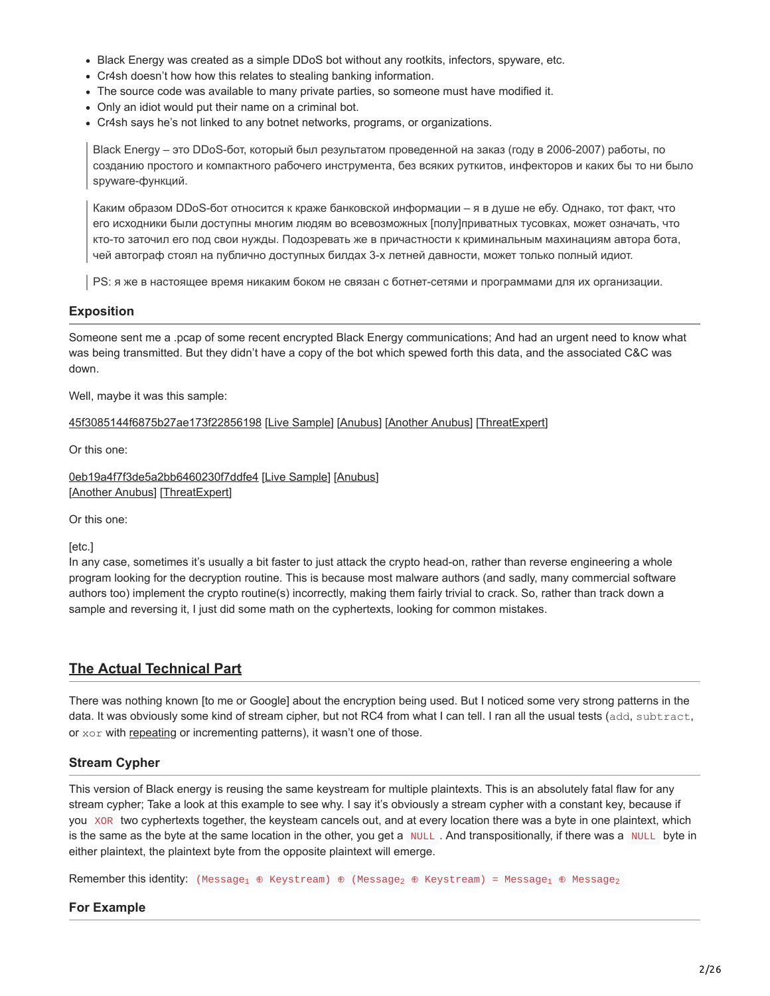- Black Energy was created as a simple DDoS bot without any rootkits, infectors, spyware, etc.
- Cr4sh doesn't how how this relates to stealing banking information.
- The source code was available to many private parties, so someone must have modified it.
- Only an idiot would put their name on a criminal bot.
- Cr4sh says he's not linked to any botnet networks, programs, or organizations.

Black Energy – это DDoS-бот, который был результатом проведенной на заказ (году в 2006-2007) работы, по созданию простого и компактного рабочего инструмента, без всяких руткитов, инфекторов и каких бы то ни было spyware-функций.

Каким образом DDoS-бот относится к краже банковской информации – я в душе не ебу. Однако, тот факт, что его исходники были доступны многим людям во всевозможных [полу]приватных тусовках, может означать, что кто-то заточил его под свои нужды. Подозревать же в причастности к криминальным махинациям автора бота, чей автограф стоял на публично доступных билдах 3-х летней давности, может только полный идиот.

PS: я же в настоящее время никаким боком не связан с ботнет-сетями и программами для их организации.

## **Exposition**

Someone sent me a .pcap of some recent encrypted Black Energy communications; And had an urgent need to know what was being transmitted. But they didn't have a copy of the bot which spewed forth this data, and the associated C&C was down.

Well, maybe it was this sample:

[45f3085144f6875b27ae173f22856198](https://web.archive.org/web/20140428201836/http://www.virustotal.com/analisis/58db0a680d11647fa5a74fcda1936ff54484a259300e1d92d7d8f656f62bdb96-1253309833) [\[Live Sample](https://web.archive.org/web/20140428201836/http://www.offensivecomputing.net/?q=ocsearch&ocq=45f3085144f6875b27ae173f22856198)] [\[Anubus](https://web.archive.org/web/20140428201836/http://anubis.iseclab.org/?action=result&task_id=1e0592d004c65f7249d06840d62268b3b)] [[Another Anubus\]](https://web.archive.org/web/20140428201836/http://anubis.iseclab.org/?action=result&task_id=13dc063d179212cc4394a3bcd9c800c4e) [\[ThreatExpert](https://web.archive.org/web/20140428201836/http://www.threatexpert.com/report.aspx?md5=45f3085144f6875b27ae173f22856198)]

Or this one:

[0eb19a4f7f3de5a2bb6460230f7ddfe4](https://web.archive.org/web/20140428201836/http://www.virustotal.com/sv/analisis/4d8ea0b7e5f134a079c22d6655259cbbc56ce9d2a8a89fae2207c0ba26ce045a-1253048086) [\[Live Sample\]](https://web.archive.org/web/20140428201836/http://www.offensivecomputing.net/?q=ocsearch&ocq=0eb19a4f7f3de5a2bb6460230f7ddfe4) [\[Anubus\]](https://web.archive.org/web/20140428201836/http://anubis.iseclab.org/?action=result&task_id=15921f68dbf4f3be4255a4705efd2451f) [\[Another Anubus](https://web.archive.org/web/20140428201836/http://anubis.iseclab.org/?action=result&task_id=17934ae35b0ca84b4ed37e23eddc50f96)] [[ThreatExpert](https://web.archive.org/web/20140428201836/http://www.threatexpert.com/report.aspx?md5=0eb19a4f7f3de5a2bb6460230f7ddfe4)]

Or this one:

[etc.]

In any case, sometimes it's usually a bit faster to just attack the crypto head-on, rather than reverse engineering a whole program looking for the decryption routine. This is because most malware authors (and sadly, many commercial software authors too) implement the crypto routine(s) incorrectly, making them fairly trivial to crack. So, rather than track down a sample and reversing it, I just did some math on the cyphertexts, looking for common mistakes.

# **The Actual Technical Part**

There was nothing known [to me or Google] about the encryption being used. But I noticed some very strong patterns in the data. It was obviously some kind of stream cipher, but not RC4 from what I can tell. I ran all the usual tests (add, subtract, or xor with [repeating](https://web.archive.org/web/20140428201836/http://en.wikipedia.org/wiki/Vigen%C3%A8re_cipher) or incrementing patterns), it wasn't one of those.

## **Stream Cypher**

This version of Black energy is reusing the same keystream for multiple plaintexts. This is an absolutely fatal flaw for any stream cypher; Take a look at this example to see why. I say it's obviously a stream cypher with a constant key, because if you XOR two cyphertexts together, the keysteam cancels out, and at every location there was a byte in one plaintext, which is the same as the byte at the same location in the other, you get a NULL. And transpositionally, if there was a NULL byte in either plaintext, the plaintext byte from the opposite plaintext will emerge.

 ${\sf Remember~this~identity:}$  (Message $_1 \; \oplus \;$  Keystream)  $\; \oplus \;$  (Message $_2 \; \oplus \;$  Keystream) = Message $_1 \; \oplus \;$  Message $_2$ 

#### **For Example**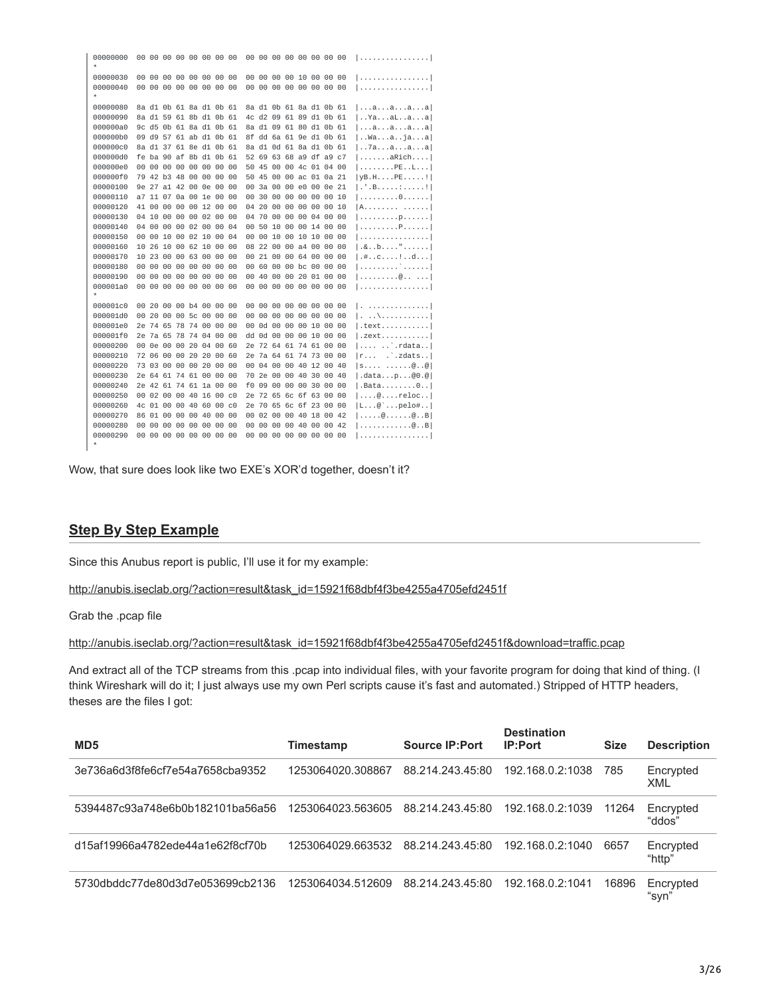00000080 8a d1 0b 61 8a d1 0b 61 8a d1 0b 61 8a d1 0b 61 |...a...a...a...a| 00000090 8a d1 59 61 8b d1 0b 61 4c d2 09 61 89 d1 0b 61 | .. Ya...al..a...al 9c d5 0b 61 8a d1 0b 61 8a d1 09 61 80 d1 0b 61 000000a0  $|...a...a...a...a|$ 000000b0 09 d9 57 61 ab d1 0b 61 8f dd 6a 61 9e d1 0b 61 | .Wa...a..ja...a| 000000c0 8a d1 37 61 8e d1 0b 61 8a d1 0d 61 8a d1 0b 61  $|...7a...a...a...a|$ 000000d0 fe ba 90 af 8b d1 0b 61 52 69 63 68 a9 df a9 c7  $1, \ldots, \ldots$ aRich.... 000000e0 00 00 00 00 00 00 00 00 50 45 00 00 4c 01 04 00  $|.........P$ E..L... 000000f0 79 42 b3 48 00 00 00 00 50 45 00 00 ac 01 0a 21  $IVB.H...PE...$ 00000100 9e 27 a1 42 00 0e 00 00 00 3a 00 00 e0 00 0e 21  $[ . \cdot , . . . . . . . . . . . ]$ 00000110 a7 11 07 0a 00 1e 00 00 00 30 00 00 00 00 00 10  $|............0......|$ 00000120 41 00 00 00 00 12 00 00 04 20 00 00 00 00 00 10  $IA. . . . . . . . . . . . . .$  $1. . . . . . . . . . p. . . . .$ 00000140 04 00 00 00 02 00 00 04 00 50 10 00 00 14 00 00 00000150 00 00 10 00 02 10 00 04 00 00 10 00 10 10 00 00 1. . . . . . . . . . . . . . . . 00000160 10 26 10 00 62 10 00 00 08 22 00 00 a4 00 00 00  $1.8.00...$ .......... 00000170 10 23 00 00 63 00 00 00 00 21 00 00 64 00 00 00  $| .# . .c . . . .|. .d . . .$ 00000180 00 00 00 00 00 00 00 00 00 60 00 00 bc 00 00 00  $|...............|$  $|............@.........|$ **1. . . . . . . . . . . . . . . .** . 000001c0 00 20 00 00 b4 00 00 00 00 00 00 00 00 00 00 00 1. . . . . . . . . . . . . . . 1  $1. 1. \times 1.1.1.1.1.1.1.1$ 000001e0 2e 74 65 78 74 00 00 00 00 0d 00 00 00 10 00 00  $\cdot$  text.......... 000001f0 2e 7a 65 78 74 04 00 00 dd 0d 00 00 00 10 00 00  $l$ .zext.......... 00000200 00 0e 00 00 20 04 00 60 2e 72 64 61 74 61 00 00  $| \ldots \ldots \ldots |$ rdata.. 00000210 72 06 00 00 20 20 00 60 2e 7a 64 61 74 73 00 00  $|r...$   $\therefore$  zdats.. 00000220 73 03 00 00 00 20 00 00 00 04 00 00 40 12 00 40  $|s............@...@|$ 00000230 2e 64 61 74 61 00 00 00 70 2e 00 00 40 30 00 40  $|.\text{data...p...@0.@}|$ 00000240 2e 42 61 74 61 1a 00 00 f0 09 00 00 00 30 00 00 .<br>| .Bata........0..| 00000250 00 02 00 00 40 16 00 c0 2e 72 65 6c 6f 63 00 00  $| \ldots \emptyset \ldots$  reloc.. 00000260 4c 01 00 00 40 60 00 c0 2e 70 65 6c 6f 23 00 00  $|L...@$  ... pelo#.. 00000270 86 01 00 00 00 40 00 00 00 02 00 00 40 18 00 42  $| \ldots \ldots \emptyset \ldots \ldots \emptyset \ldots B|$  $1, \ldots, \ldots, \ldots, \emptyset, .$  B . . . . . . . . . . . . . . . . . .

Wow, that sure does look like two EXE's XOR'd together, doesn't it?

#### **Step By Step Example**

Since this Anubus report is public, I'll use it for my example:

http://anubis.iseclab.org/?action=result&task\_id=15921f68dbf4f3be4255a4705efd2451f

Grab the .pcap file

http://anubis.iseclab.org/?action=result&task\_id=15921f68dbf4f3be4255a4705efd2451f&download=traffic.pcap

And extract all of the TCP streams from this .pcap into individual files, with your favorite program for doing that kind of thing. (I think Wireshark will do it; I just always use my own Perl scripts cause it's fast and automated.) Stripped of HTTP headers, theses are the files I got:

| MD <sub>5</sub>                  | Timestamp         | <b>Source IP:Port</b> | <b>Destination</b><br><b>IP:Port</b> | <b>Size</b> | <b>Description</b>  |
|----------------------------------|-------------------|-----------------------|--------------------------------------|-------------|---------------------|
| 3e736a6d3f8fe6cf7e54a7658cba9352 | 1253064020.308867 | 88.214.243.45:80      | 192.168.0.2:1038                     | 785         | Encrypted<br>XML    |
| 5394487c93a748e6b0b182101ba56a56 | 1253064023.563605 | 88.214.243.45:80      | 192.168.0.2:1039                     | 11264       | Encrypted<br>"ddos" |
| d15af19966a4782ede44a1e62f8cf70b | 1253064029.663532 | 88.214.243.45:80      | 192.168.0.2:1040                     | 6657        | Encrypted<br>"http" |
| 5730dbddc77de80d3d7e053699cb2136 | 1253064034.512609 | 88.214.243.45:80      | 192.168.0.2:1041                     | 16896       | Encrypted<br>"svn'  |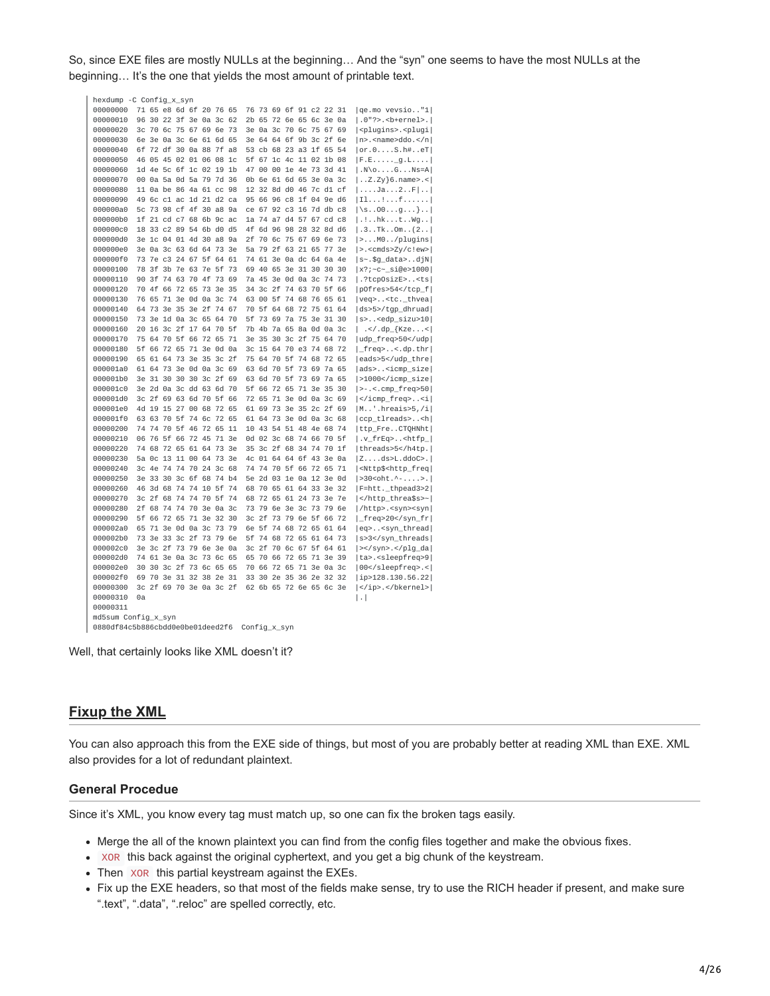So, since EXE files are mostly NULLs at the beginning... And the "syn" one seems to have the most NULLs at the beginning... It's the one that yields the most amount of printable text.

| hexdump -C Config_x_syn          |    |          |       |                         |          |      |      |                |       |    |          |                         |       |    |                                                   |
|----------------------------------|----|----------|-------|-------------------------|----------|------|------|----------------|-------|----|----------|-------------------------|-------|----|---------------------------------------------------|
| 00000000                         |    |          |       | 71 65 e8 6d 6f 20 76 65 |          |      |      |                |       |    |          | 76 73 69 6f 91 c2 22 31 |       |    | $ qe.mo$ vevsio"1                                 |
| 00000010                         | 96 |          |       | 30 22 3f 3e 0a 3c       |          |      | 62   | 2 <sub>b</sub> | 65    |    |          | 72 6e 65 6c 3e 0a       |       |    | $ .0"$ ?>. <b-ernel>.<math> </math></b-ernel>     |
| 00000020                         |    |          |       | 3c 70 6c 75 67 69 6e 73 |          |      |      | 3e             |       |    |          | 0a 3c 70 6c 75 67       |       | 69 | <plugins>.<plugi < td=""></plugi <></plugins>     |
| 00000030                         | 6e |          |       | 3e 0a 3c 6e 61 6d 65    |          |      |      | 3e             | 64    |    |          | 64 6f 9b 3c 2f 6e       |       |    | $ n\rangle$ . <name>ddo.</name>                   |
| 00000040                         |    |          |       | 6f 72 df 30 0a 88 7f    |          |      | a8   | 53             | cb    |    |          | 68 23 a3 1f 65 54       |       |    | or.0S.h#eT                                        |
| 00000050                         |    |          |       | 46 05 45 02 01 06 08    |          |      | 1c   | 5f             | 67    |    |          | 1c 4c 11 02 1b 08       |       |    | $[F.E]$ g.L                                       |
| 00000060                         |    |          |       | 1d 4e 5c 6f 1c 02 19 1b |          |      |      | 47             | 00    |    |          | 00 1e 4e 73 3d 41       |       |    | $ . N \ 0. \ldots 6. \ldots Ns = A $              |
| 00000070                         |    |          |       | 00 0a 5a 0d 5a 79 7d 36 |          |      |      | 0b             | 6e    |    |          | 61 6d 65 3e 0a 3c       |       |    | $\vert$ Z.Zy}6.name>.<                            |
| 00000080                         |    |          |       | 11 0a be 86 4a 61 cc 98 |          |      |      |                |       |    |          | 12 32 8d d0 46 7c d1 cf |       |    | $  \ldots$ . Ja. $  \ldots 2 \ldots F   \ldots  $ |
| 00000090                         | 49 |          |       | 6c c1 ac 1d 21 d2 ca    |          |      |      |                | 95 66 |    |          | 96 c8 1f 04 9e d6       |       |    | 11 f                                              |
| 000000a0                         |    |          |       | 5c 73 98 cf 4f 30 a8    |          |      | 9a   |                |       |    |          | ce 67 92 c3 16 7d db c8 |       |    | $\left[\S.00\ldots g\ldots\right].$               |
| 000000b0                         |    |          |       | 1f 21 cd c7 68 6b 9c    |          |      | ac   |                |       |    |          | 1a 74 a7 d4 57 67 cd c8 |       |    | $  \cdot   \cdot h$ kt $\mathsf{W}$ g             |
| 000000c0                         |    |          |       | 18 33 c2 89 54 6b d0 d5 |          |      |      | 4f             |       |    |          | 6d 96 98 28 32 8d d6    |       |    | .3Tk0m(2)                                         |
| 000000d0                         |    |          |       | 3e 1c 04 01 4d 30 a8 9a |          |      |      | 2f             |       |    |          | 70 6c 75 67 69 6e 73    |       |    | $  >$ $M0$ /plugins                               |
| 000000e0                         |    |          |       | 3e 0a 3c 63 6d 64 73    |          |      | 3e   | 5a             |       |    |          | 79 2f 63 21 65 77       |       | 3e | $  > . <$ cmds>Zy/c!ew>                           |
| 000000f0                         |    |          |       | 73 7e c3 24 67 5f 64    |          |      | 61   | 74             | 61    |    |          | 3e 0a dc 64 6a 4e       |       |    | $ s-.$ \$g_data>djN $ $                           |
| 00000100                         |    |          |       | 78 3f 3b 7e 63 7e 5f    |          |      | - 73 | 69             | 40    |    |          | 65 3e 31 30 30          |       | 30 | $ x?; -c - siges 1000 $                           |
| 00000110                         | 90 |          |       | 3f 74 63 70 4f          |          | 73   | 69   |                | 7a 45 |    |          | 3e 0d 0a 3c 74 73       |       |    | $ .$ ?tcp0sizE> <ts< td=""></ts<>                 |
| 00000120                         |    |          |       | 70 4f 66 72 65 73 3e 35 |          |      |      | 34             |       |    |          | 3c 2f 74 63 70 5f 66    |       |    | p0fres>54                                         |
| 00000130                         |    | 76 65    |       | 71 3e 0d 0a 3c          |          |      | 74   | 63             | 00    |    |          | 5f 74 68 76 65          |       | 61 | $ veq>0.5$ $<$ tc._thvea                          |
| 00000140                         |    | 64 73 3e |       | 35 3e 2f 74             |          |      | 67   | 70             | 5f    |    |          | 64 68 72 75 61          |       | 64 | ds>5>/tgp_dhruad                                  |
| 00000150                         |    |          |       | 73 3e 1d 0a 3c 65 64    |          |      | 70   |                |       |    |          | 5f 73 69 7a 75 3e 31 30 |       |    | $ s>$ <edp_sizu>10<math> </math></edp_sizu>       |
| 00000160                         |    | 20 16    | 3c 2f |                         | 17 64    | - 70 | 5f   | 7b             | 4b    |    |          | 7a 65 8a 0d 0a          |       | 3c | $\langle$ .dp_{Kze< </td                          |
| 00000170                         |    |          |       | 75 64 70 5f 66 72 65 71 |          |      |      |                |       |    |          | 3e 35 30 3c 2f 75 64 70 |       |    | $\mathbf{r}$                                      |
|                                  |    |          |       |                         |          |      |      |                |       |    |          |                         |       |    | udp_freq>50                                       |
| 00000180                         |    |          |       | 5f 66 72 65 71 3e 0d 0a |          |      |      |                |       |    |          | 3c 15 64 70 e3 74 68 72 |       |    | $ \_\text{freq}>, .<$ .dp.thr                     |
| 00000190                         |    | 65 61 64 |       | 73 3e 35 3c 2f          |          |      |      |                | 75 64 |    |          | 70 5f 74 68 72 65       |       |    | eads>5                                            |
| 000001a0                         |    | 61 64 73 |       | 3e 0d 0a 3c 69          |          |      |      | 63             |       |    |          | 6d 70 5f 73 69 7a 65    |       |    | $ ads>$ <icmp_size<math> </icmp_size<math>        |
| 000001b0                         |    |          |       | 3e 31 30 30 30 3c 2f    |          |      | 69   | 63             | 6d    |    |          | 70 5f 73 69 7a 65       |       |    | $ >1000$                                          |
| 000001c0                         |    |          |       | 3e 2d 0a 3c dd 63 6d    |          |      | 70   | 5f             | 66    | 72 |          | 65 71 3e 35             |       | 30 | $ >-.<.$ cmp_freq>50                              |
| 000001d0                         |    |          |       | 3c 2f 69 63 6d 70 5f    |          |      | 66   | 72             | 65    |    |          | 71 3e 0d 0a 3c 69       |       |    | $ $ <i<math> </i<math>                            |
| 000001e0                         |    |          |       | 4d 19 15 27             | 00 68 72 |      | 65   | 61 69          |       |    |          | 73 3e 35 2c 2f          |       | 69 | $ M$ '.hreais>5,/i                                |
| 000001f0                         |    | 63 63    |       | 70 5f 74 6c 72 65       |          |      |      |                |       |    |          | 61 64 73 3e 0d 0a 3c 68 |       |    | ccp_tlreads> <h < td=""></h <>                    |
| 00000200                         |    |          |       | 74 74 70 5f 46 72 65    |          |      | 11   |                |       |    |          | 10 43 54 51 48 4e 68 74 |       |    | ttp_FreCTQHNht                                    |
| 00000210                         |    |          |       | 06 76 5f 66 72 45 71 3e |          |      |      |                |       |    |          | 0d 02 3c 68 74 66 70 5f |       |    | $ .v_f$ rEq> <htfp_<math> </htfp_<math>           |
| 00000220                         |    |          |       | 74 68 72 65 61 64 73    |          |      | 3e   |                |       |    |          | 35 3c 2f 68 34 74 70 1f |       |    | threads>5                                         |
| 00000230                         |    |          |       | 5a Oc 13 11 00 64 73    |          |      | 3e   | 4c             |       |    |          | 01 64 64 6f 43 3e 0a    |       |    | $ Z$ $ds$ >L.ddoC>.                               |
| 00000240                         |    | 3c 4e    |       | 74 74 70 24 3c          |          |      | 68   | 74             | 74    | 70 |          | 5f 66 72 65 71          |       |    | <nttp\$<http_freq < td=""></nttp\$<http_freq <>   |
| 00000250                         |    | 3e 33 30 |       | 3c 6f 68 74 b4          |          |      |      |                | 5e 2d |    |          | 03 1e 0a 12 3e 0d       |       |    | $  >30$ <oht.^->. </oht.^->                       |
| 00000260                         |    |          |       | 46 3d 68 74 74 10 5f    |          |      | 74   |                |       |    |          | 68 70 65 61 64 33 3e 32 |       |    | F=htt._thpead3>2                                  |
| 00000270                         |    |          |       | 3c 2f 68 74 74 70 5f    |          |      | 74   | 68             |       |    |          | 72 65 61 24 73 3e 7e    |       |    | ~                                                 |
| 00000280                         |    |          |       | 2f 68 74 74 70 3e 0a 3c |          |      |      |                | 73 79 |    |          | 6e 3e 3c 73 79 6e       |       |    | /http>. <syn><syn < td=""></syn <></syn>          |
| 00000290                         |    |          |       | 5f 66 72 65 71 3e 32    |          |      | 30   | 3c 2f          |       |    |          | 73 79 6e 5f 66 72       |       |    | _freq>20                                          |
| 000002a0                         |    |          |       | 65 71 3e 0d 0a 3c 73 79 |          |      |      |                | 6e 5f |    |          | 74 68 72 65 61 64       |       |    | eq> <syn_thread < td=""></syn_thread <>           |
| 000002b0                         |    | 73 3e 33 |       | 3c 2f 73 79             |          |      | 6e   | 5f             | 74    |    | 68 72 65 | 61                      | 64 73 |    | s>3                                               |
| 000002c0                         |    |          |       | 3e 3c 2f 73 79 6e 3e 0a |          |      |      |                | 3c 2f |    |          | 70 6c 67 5f 64 61       |       |    | $ >\frac$ /syn>.                                  |
| 000002d0                         |    |          |       | 74 61 3e 0a 3c 73 6c    |          |      | 65   | 65             | 70    |    |          | 66 72 65 71 3e 39       |       |    | ta>. <sleepfreq>9 </sleepfreq>                    |
| 000002e0                         |    |          |       | 30 30 3c 2f 73 6c 65 65 |          |      |      | 70             | 66    |    |          | 72 65 71 3e 0a 3c       |       |    | $ 00$ . <                                         |
| 000002f0                         |    |          |       | 69 70 3e 31 32 38 2e 31 |          |      |      | 33             | 30    |    | 2e 35 36 | 2e 32 32                |       |    | $ i\rangle$ = 128.130.56.22                       |
| 00000300                         |    |          |       | 3c 2f 69 70 3e 0a 3c 2f |          |      |      |                |       |    |          | 62 6b 65 72 6e 65 6c 3e |       |    | .                                                 |
| 00000310                         | 0a |          |       |                         |          |      |      |                |       |    |          |                         |       |    | $\vert \cdot \vert$                               |
| 00000311                         |    |          |       |                         |          |      |      |                |       |    |          |                         |       |    |                                                   |
| md5sum Config_x_syn              |    |          |       |                         |          |      |      |                |       |    |          |                         |       |    |                                                   |
| 0880df84c5b886cbdd0e0be01deed2f6 |    |          |       |                         |          |      |      |                |       |    |          |                         |       |    |                                                   |
|                                  |    |          |       |                         |          |      |      | Config_x_syn   |       |    |          |                         |       |    |                                                   |

Well, that certainly looks like XML doesn't it?

## **Fixup the XML**

You can also approach this from the EXE side of things, but most of you are probably better at reading XML than EXE. XML also provides for a lot of redundant plaintext.

#### **General Procedue**

Since it's XML, you know every tag must match up, so one can fix the broken tags easily.

- Merge the all of the known plaintext you can find from the config files together and make the obvious fixes.
- . XOR this back against the original cyphertext, and you get a big chunk of the keystream.
- Then XOR this partial keystream against the EXEs.
- Fix up the EXE headers, so that most of the fields make sense, try to use the RICH header if present, and make sure ".text", ".data", ".reloc" are spelled correctly, etc.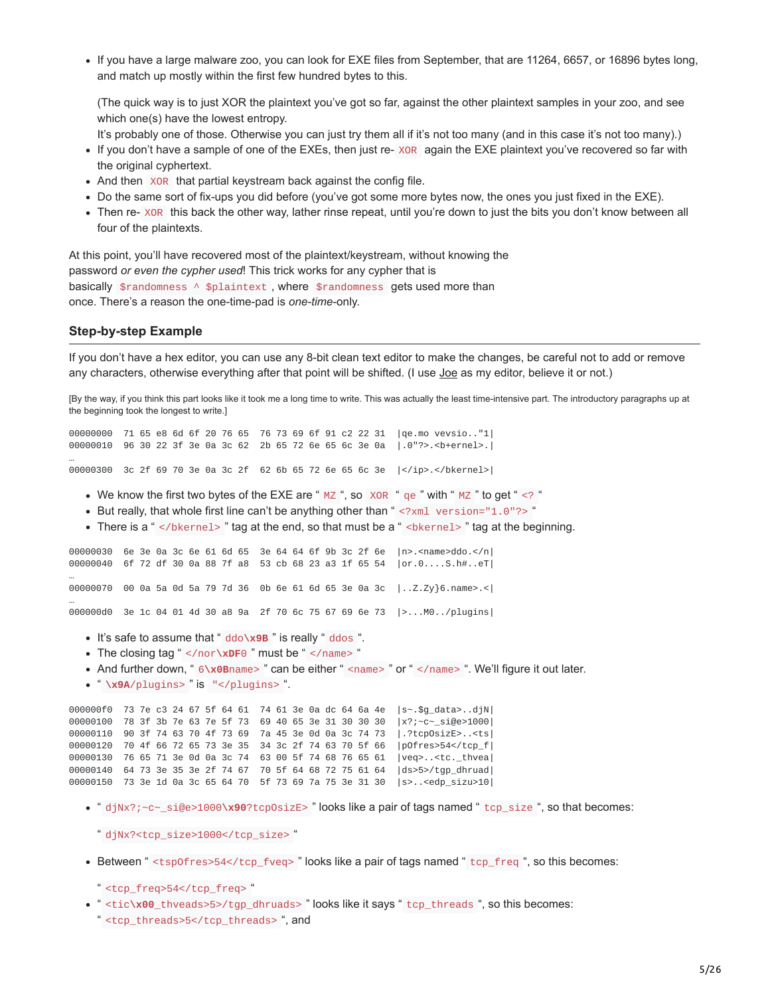If you have a large malware zoo, you can look for EXE files from September, that are 11264, 6657, or 16896 bytes long, and match up mostly within the first few hundred bytes to this.

(The quick way is to just XOR the plaintext you've got so far, against the other plaintext samples in your zoo, and see which one(s) have the lowest entropy.

It's probably one of those. Otherwise you can just try them all if it's not too many (and in this case it's not too many).)

- If you don't have a sample of one of the EXEs, then just re- XOR again the EXE plaintext you've recovered so far with the original cyphertext.
- And then XOR that partial keystream back against the config file.
- Do the same sort of fix-ups you did before (you've got some more bytes now, the ones you just fixed in the EXE).
- Then re- XOR this back the other way, lather rinse repeat, until you're down to just the bits you don't know between all four of the plaintexts.

At this point, you'll have recovered most of the plaintext/keystream, without knowing the password *or even the cypher used*! This trick works for any cypher that is basically \$randomness  $\wedge$  \$plaintext, where \$randomness gets used more than once. There's a reason the one-time-pad is *one-time*-only.

#### **Step-by-step Example**

If you don't have a hex editor, you can use any 8-bit clean text editor to make the changes, be careful not to add or remove any characters, otherwise everything after that point will be shifted. (I use [Joe](https://web.archive.org/web/20140428201836/http://joe-editor.sourceforge.net/) as my editor, believe it or not.)

[By the way, if you think this part looks like it took me a long time to write. This was actually the least time-intensive part. The introductory paragraphs up at the beginning took the longest to write.]

00000000 71 65 e8 6d 6f 20 76 65 76 73 69 6f 91 c2 22 31 |qe.mo vevsio.."1| 00000010 96 30 22 3f 3e 0a 3c 62 2b 65 72 6e 65 6c 3e 0a |.0"?>.<b+ernel>.| …

00000300 3c 2f 69 70 3e 0a 3c 2f 62 6b 65 72 6e 65 6c 3e |</ip>.</bkernel>|

- We know the first two bytes of the EXE are "  $MZ$ ", so  $XOR$  "  $qe$  " with "  $MZ$  " to get " <? "
- But really, that whole first line can't be anything other than " <?xml version="1.0"?> "
- There is a " </bkernel>" tag at the end, so that must be a " <br/>sheart and the beginning.

00000030 6e 3e 0a 3c 6e 61 6d 65 3e 64 64 6f 9b 3c 2f 6e |n>.<name>ddo.</n| 00000040 6f 72 df 30 0a 88 7f a8 53 cb 68 23 a3 1f 65 54 | or.0....S.h#..eT| … 00000070 00 0a 5a 0d 5a 79 7d 36 0b 6e 61 6d 65 3e 0a 3c |..Z.Zy}6.name>.<| … 000000d0 3e 1c 04 01 4d 30 a8 9a 2f 70 6c 75 67 69 6e 73 |>...M0../plugins|

- It's safe to assume that " ddo**\x9B** " is really " ddos ".
- The closing tag " </nor**\xDF**0 " must be " </name> "
- And further down, " 6\x0Bname> " can be either " <name> " or " </name> ". We'll figure it out later.
- " **\x9A**/plugins> " is "</plugins> ".

000000f0 73 7e c3 24 67 5f 64 61 74 61 3e 0a dc 64 6a 4e | s~. \$g\_data>..djN| 00000100 78 3f 3b 7e 63 7e 5f 73 69 40 65 3e 31 30 30 30 |x?;~c~ si@e>1000| 90 3f 74 63 70 4f 73 69 7a 45 3e 0d 0a 3c 74 73 |.?tcpOsizE>..<ts| 70 4f 66 72 65 73 3e 35 34 3c 2f 74 63 70 5f 66 |pOfres>54</tcp\_f| 76 65 71 3e 0d 0a 3c 74 63 00 5f 74 68 76 65 61 |veq>..<tc.\_thvea| 64 73 3e 35 3e 2f 74 67 70 5f 64 68 72 75 61 64 |ds>5>/tgp\_dhruad| 73 3e 1d 0a 3c 65 64 70 5f 73 69 7a 75 3e 31 30 |s>..<edp\_sizu>10|

- " djNx?;~c~\_si@e>1000**\x90**?tcpOsizE> " looks like a pair of tags named " tcp\_size ", so that becomes:
	- " djNx?<tcp\_size>1000</tcp\_size> "
- Between " <tsp0fres>54</tcp\_fveq> " looks like a pair of tags named " tcp\_freq ", so this becomes:

" <tcp\_freq>54</tcp\_freq> "

" <tic**\x00**\_thveads>5>/tgp\_dhruads> " looks like it says " tcp\_threads ", so this becomes: " <tcp\_threads>5</tcp\_threads> ", and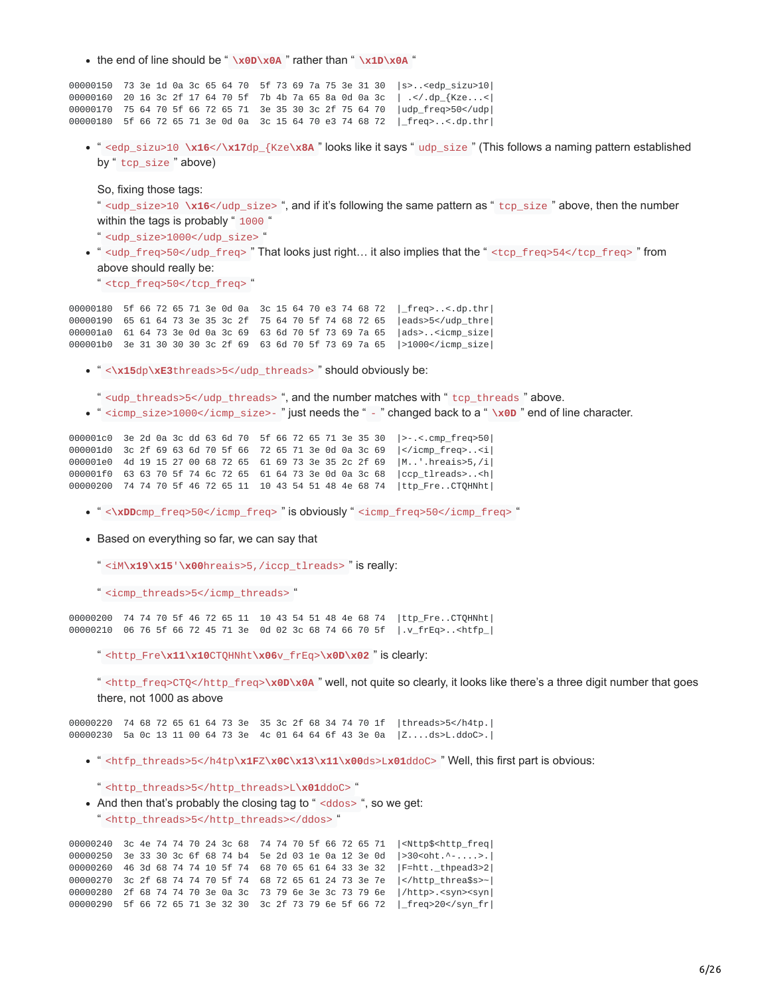• the end of line should be " **\x0D\x0A** " rather than " **\x1D\x0A** "

 73 3e 1d 0a 3c 65 64 70 5f 73 69 7a 75 3e 31 30 |s>..<edp\_sizu>10| 20 16 3c 2f 17 64 70 5f 7b 4b 7a 65 8a 0d 0a 3c | .</.dp\_{Kze...<| 75 64 70 5f 66 72 65 71 3e 35 30 3c 2f 75 64 70 |udp\_freq>50</udp| 5f 66 72 65 71 3e 0d 0a 3c 15 64 70 e3 74 68 72 |\_freq>..<.dp.thr|

" <edp\_sizu>10 **\x16**</**\x17**dp\_{Kze**\x8A** " looks like it says " udp\_size " (This follows a naming pattern established by " tcp\_size " above)

So, fixing those tags:

" <udp\_size>10 **\x16**</udp\_size> ", and if it's following the same pattern as " tcp\_size " above, then the number within the tags is probably " 1000 "

" <udp\_size>1000</udp\_size> "

" <udp\_freq>50</udp\_freq> " That looks just right… it also implies that the " <tcp\_freq>54</tcp\_freq> " from above should really be:

" <tcp\_freq>50</tcp\_freq> "

00000180 5f 66 72 65 71 3e 0d 0a 3c 15 64 70 e3 74 68 72 |\_freq>..<.dp.thr| 00000190 65 61 64 73 3e 35 3c 2f 75 64 70 5f 74 68 72 65 |eads>5</udp\_thre| 000001a0 61 64 73 3e 0d 0a 3c 69 63 6d 70 5f 73 69 7a 65 |ads>..<icmp\_size| 000001b0 3e 31 30 30 30 3c 2f 69 63 6d 70 5f 73 69 7a 65 |>1000</icmp\_size|

- " <**\x15**dp**\xE3**threads>5</udp\_threads> " should obviously be:
- " <udp\_threads>5</udp\_threads> ", and the number matches with " tcp\_threads " above.
- " <icmp\_size>1000</icmp\_size>- " just needs the " " changed back to a " **\x0D** " end of line character.

000001c0 3e 2d 0a 3c dd 63 6d 70 5f 66 72 65 71 3e 35 30 |>-.<.cmp\_freq>50| 000001d0 3c 2f 69 63 6d 70 5f 66 72 65 71 3e 0d 0a 3c 69 |</icmp  $freq$ ... 000001e0 4d 19 15 27 00 68 72 65 61 69 73 3e 35 2c 2f 69 |M..'.hreais>5,/i| 000001f0 63 63 70 5f 74 6c 72 65 61 64 73 3e 0d 0a 3c 68 |ccp\_tlreads>..<h| 00000200 74 74 70 5f 46 72 65 11 10 43 54 51 48 4e 68 74 |ttp\_Fre..CTQHNht|

- " <\xDDcmp\_freq>50</icmp\_freq>" is obviously " <icmp\_freq>50</icmp\_freq>"
- Based on everything so far, we can say that
	- " <iM**\x19\x15**'**\x00**hreais>5,/iccp\_tlreads> " is really:
	- " <icmp\_threads>5</icmp\_threads> "

00000200 74 74 70 5f 46 72 65 11 10 43 54 51 48 4e 68 74 |ttp\_Fre..CTQHNht| 00000210 06 76 5f 66 72 45 71 3e 0d 02 3c 68 74 66 70 5f |.v\_frEq>..<htfp\_|

" <http\_Fre**\x11\x10**CTQHNht**\x06**v\_frEq>**\x0D\x02** " is clearly:

" <http\_freq>CTQ</http\_freq>**\x0D\x0A** " well, not quite so clearly, it looks like there's a three digit number that goes there, not 1000 as above

00000220 74 68 72 65 61 64 73 3e 35 3c 2f 68 34 74 70 1f |threads>5</h4tp.| 00000230 5a 0c 13 11 00 64 73 3e 4c 01 64 64 6f 43 3e 0a |Z....ds>L.ddoC>.|

- " <htfp\_threads>5</h4tp**\x1F**Z**\x0C\x13\x11\x00**ds>L**x01**ddoC> " Well, this first part is obvious:
	- " <http\_threads>5</http\_threads>L**\x01**ddoC> "
- And then that's probably the closing tag to " <ddos> ", so we get: " <http\_threads>5</http\_threads></ddos> "

 3c 4e 74 74 70 24 3c 68 74 74 70 5f 66 72 65 71 |<Nttp\$<http\_freq| 3e 33 30 3c 6f 68 74 b4 5e 2d 03 1e 0a 12 3e 0d |>30<oht.^-....>.| 46 3d 68 74 74 10 5f 74 68 70 65 61 64 33 3e 32 |F=htt.\_thpead3>2| 3c 2f 68 74 74 70 5f 74 68 72 65 61 24 73 3e 7e |</http\_threa\$s>~| 2f 68 74 74 70 3e 0a 3c 73 79 6e 3e 3c 73 79 6e |/http>.<syn><syn| 5f 66 72 65 71 3e 32 30 3c 2f 73 79 6e 5f 66 72 |\_freq>20</syn\_fr|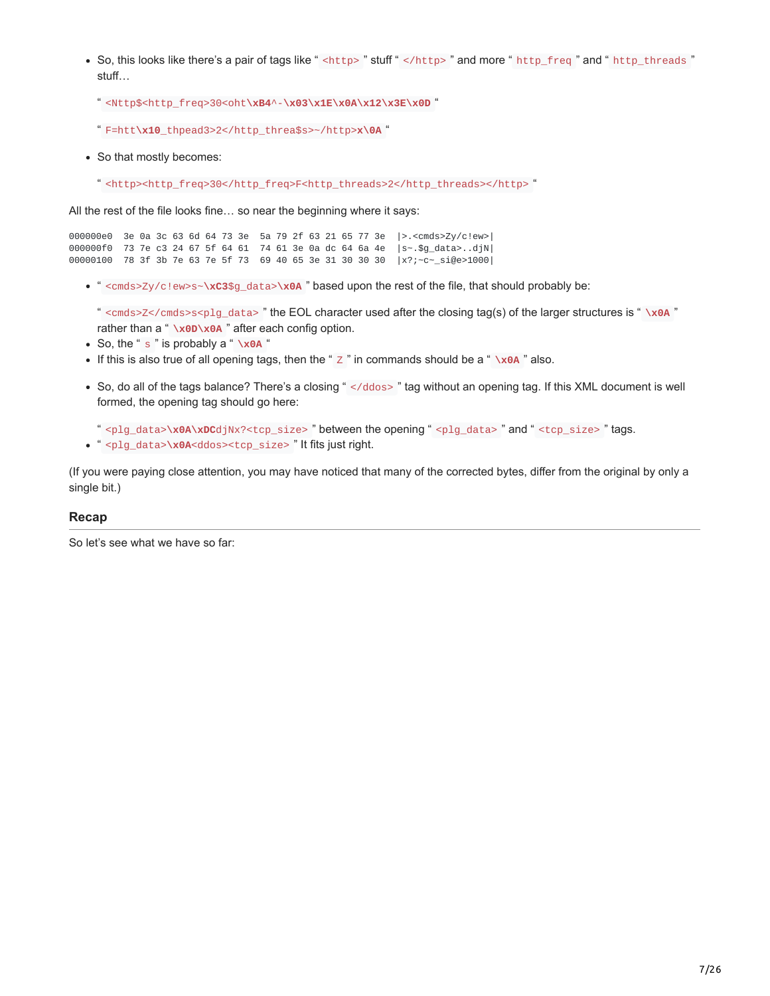- So, this looks like there's a pair of tags like " <http> " stuff " </http> " and more " http\_freq " and " http\_threads " stuff…
	- " <Nttp\$<http\_freq>30<oht**\xB4**^-**\x03\x1E\x0A\x12\x3E\x0D** "
	- " F=htt**\x10**\_thpead3>2</http\_threa\$s>~/http>**x\0A** "
- So that mostly becomes:
	- " <http><http\_freq>30</http\_freq>F<http\_threads>2</http\_threads></http> "

All the rest of the file looks fine… so near the beginning where it says:

000000e0 3e 0a 3c 63 6d 64 73 3e 5a 79 2f 63 21 65 77 3e |>.<cmds>Zy/c!ew>| 000000f0 73 7e c3 24 67 5f 64 61 74 61 3e 0a dc 64 6a 4e |s~.\$g\_data>..djN| 00000100 78 3f 3b 7e 63 7e 5f 73 69 40 65 3e 31 30 30 30 |x?;~c~\_si@e>1000|

" <cmds>Zy/c!ew>s~**\xC3**\$g\_data>**\x0A** " based upon the rest of the file, that should probably be:

" <cmds>Z</cmds>s<plg\_data> " the EOL character used after the closing tag(s) of the larger structures is " **\x0A** " rather than a " **\x0D\x0A** " after each config option.

- So, the " s " is probably a " **\x0A** "
- If this is also true of all opening tags, then the " $Z$ " in commands should be a "  $x0A$ " also.
- So, do all of the tags balance? There's a closing " </ddos> " tag without an opening tag. If this XML document is well formed, the opening tag should go here:
	- " <plg\_data>**\x0A\xDC**djNx?<tcp\_size> " between the opening " <plg\_data> " and " <tcp\_size> " tags.
- " <plg\_data>**\x0A**<ddos><tcp\_size> " It fits just right.

(If you were paying close attention, you may have noticed that many of the corrected bytes, differ from the original by only a single bit.)

#### **Recap**

So let's see what we have so far: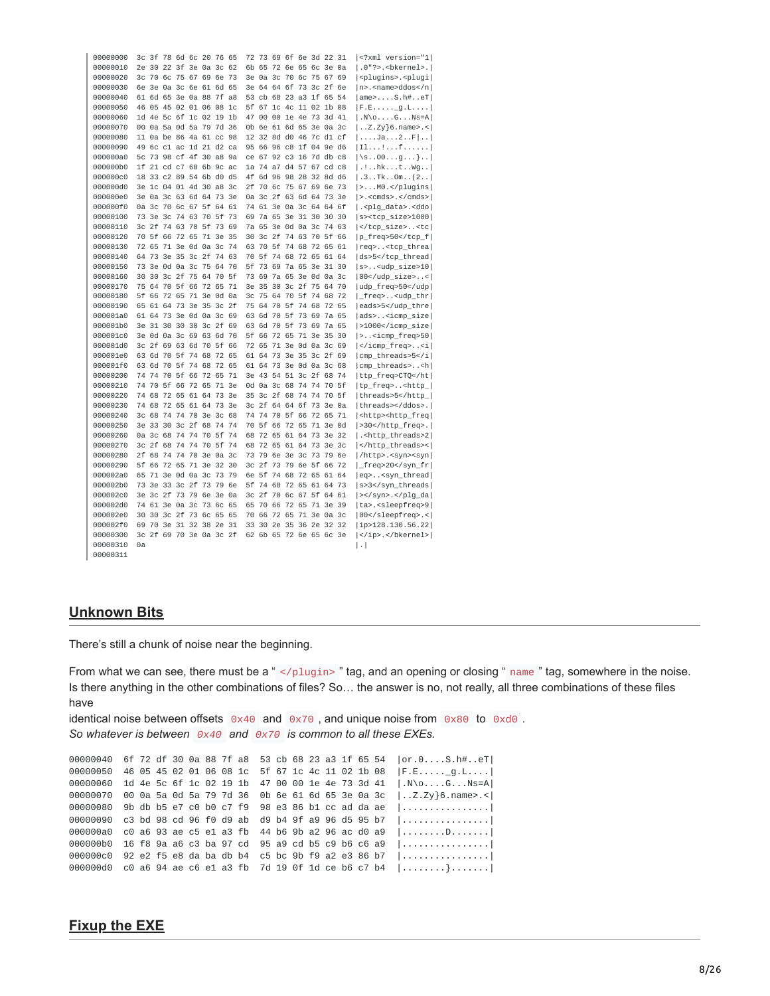| 00000000 |    |          |             | 3c 3f 78 6d 6c 20 76 65 |                |          |    |                |    |                |                   |             |          |                      | 72 73 69 6f 6e 3d 22 31 |                | xml version="1</th                             |
|----------|----|----------|-------------|-------------------------|----------------|----------|----|----------------|----|----------------|-------------------|-------------|----------|----------------------|-------------------------|----------------|------------------------------------------------|
| 00000010 |    |          |             | 2e 30 22 3f 3e 0a 3c    |                |          |    | 62             |    |                |                   |             |          |                      | 6b 65 72 6e 65 6c 3e 0a |                | $ .0"$ ?>.<br>bkernel>.                        |
| 00000020 |    |          |             | 3c 70 6c 75 67 69 6e    |                |          |    | 73             | Зе |                |                   |             |          |                      | 0a 3c 70 6c 75 67 69    |                | <plugins>.<plugi< td=""></plugi<></plugins>    |
| 00000030 |    |          |             | 6e 3e 0a 3c 6e 61 6d    |                |          |    | 65             | 3e | 64             |                   | 64 6f 73 3c |          |                      | 2f                      | 6e             | $ n\rangle$ . <name>ddos</name>                |
| 00000040 |    |          |             | 61 6d 65 3e 0a 88 7f    |                |          |    | a8             | 53 | cb             |                   |             |          | 68 23 a3 1f 65       |                         | 54             | $ ame>$ S.h#eT                                 |
|          | 46 |          | 05 45       | 02                      | 01 06 08       |          |    | 1c             | 5f | 67             |                   | 1c 4c 11 02 |          |                      | 1b 08                   |                |                                                |
| 00000050 |    |          |             | 4e 5c 6f 1c 02 19       |                |          |    |                |    |                |                   |             |          |                      |                         |                | F.Eq.L                                         |
| 00000060 | 1d |          |             |                         |                |          |    | 1 <sub>b</sub> | 47 | 00             |                   |             |          |                      | 00 1e 4e 73 3d 41       |                | $ . N \ 0. \ldots 6. \ldots Ns = A$            |
| 00000070 |    |          |             | 00 0a 5a 0d 5a 79 7d 36 |                |          |    |                | 0b | 6e             |                   | 61 6d 65    |          |                      | 3e 0a 3c                |                | $\vert$ Z.Zy}6.name>.<                         |
| 00000080 |    |          |             | 11 0a be 86 4a 61 cc 98 |                |          |    |                |    |                |                   |             |          |                      | 12 32 8d d0 46 7c d1 cf |                | $\left[\ldots$ . Ja. $\ldots$ 2. . F $\right]$ |
| 00000090 | 49 |          |             | 6c c1 ac 1d 21 d2 ca    |                |          |    |                | 95 | 66             |                   |             |          |                      | 96 c8 1f 04 9e d6       |                | 11 f                                           |
| 000000a0 |    |          |             | 5c 73 98 cf 4f 30 a8 9a |                |          |    |                |    |                |                   |             |          |                      | ce 67 92 c3 16 7d db c8 |                | $\{\S.00g\}$ .                                 |
| 000000b0 | 1f |          |             | 21 cd c7 68 6b 9c       |                |          |    | ac             |    | 1a 74          |                   | a7 d4 57 67 |          |                      | $cd$ $c8$               |                | $ .$ !hkt $Wg$                                 |
| 000000c0 |    |          |             | 18 33 c2 89 54 6b d0    |                |          |    | d5             |    |                |                   |             |          |                      | 4f 6d 96 98 28 32 8d d6 |                | .3. .7k. .0m. .(2. .                           |
| 000000d0 | Зе |          | 1c 04       |                         | 01 4d          | 30       | a8 | 3c             | 2f | 70 6c          |                   | 75 67       |          | 69                   | 6e                      | 73             | $  >$ $M0.<$ $ $ plugins                       |
| 000000e0 |    |          |             | 3e 0a 3c 63 6d 64 73    |                |          |    | 3e             |    |                | 0a 3c 2f 63 6d 64 |             |          |                      | 73                      | Зе             | $  > .$ <cmds>. </cmds>                        |
| 000000f0 |    | 0а 3с    | 70          | 6c                      | 67             | 5f       | 64 | 61             |    | 74 61          | 3e                | 0а 3с       |          | 64                   | 64                      | 6f             | . <plg_data>.<ddo< td=""></ddo<></plg_data>    |
| 00000100 |    | 73 3e 3c |             | 74                      | 63 70 5f       |          |    | 73             | 69 |                | 7a 65 3e 31 30    |             |          |                      | 30                      | 30             | s> <tcp_size>1000</tcp_size>                   |
| 00000110 |    |          | 3c 2f 74 63 |                         | 70 5f 73       |          |    | 69             |    | 7a 65          | 3e                |             | 0d 0a 3c |                      | 74                      | 63             | <tc< td=""></tc<>                              |
| 00000120 |    |          |             | 70 5f 66 72 65 71 3e    |                |          |    | 35             | 30 |                |                   |             |          | 3c 2f 74 63 70 5f    |                         | 66             | p_freq>50                                      |
| 00000130 |    |          |             | 72 65 71 3e 0d 0a 3c    |                |          |    | 74             |    | 63 70 5f       |                   |             |          | 74 68 72 65          |                         | 61             | req> <tcp_threa< td=""></tcp_threa<>           |
| 00000140 |    |          |             | 64 73 3e 35 3c 2f 74    |                |          |    | 63             |    |                |                   |             |          | 70 5f 74 68 72 65 61 |                         | 64             | ds>5                                           |
| 00000150 | 73 |          |             | 3e 0d 0a 3c 75 64       |                |          |    | 70             | 5f | 73             | 69                |             |          |                      | 7a 65 3e 31 30          |                | $ s>$ <udp_size>10</udp_size>                  |
| 00000160 | 30 | 30       | 3c 2f       |                         |                | 75 64 70 |    | 5f             |    | 73 69          |                   | 7a 65 3e    |          | 0d 0a                |                         | 3 <sub>c</sub> | $ 00<$ /udp_size><                             |
| 00000170 | 75 |          | 64 70 5f    |                         | 66 72 65       |          |    | 71             | 3e | 35             | 30                |             | 3c 2f    | 75 64                |                         | 70             | udp_freq>50                                    |
| 00000180 | 5f | 66 72    |             | 65                      | 71 3e 0d       |          |    | 0a             | 3c | 75             | 64                | 70          | 5f       | 74                   | 68                      | 72             | _freq> <udp_thr< td=""></udp_thr<>             |
| 00000190 | 65 | 61 64    |             | 73                      | 3e 35 3c       |          |    | 2f             | 75 | 64             | 70                |             | 5f 74 68 |                      | 72 65                   |                | eads>5                                         |
| 000001a0 |    |          | 61 64 73    | 3e                      | 0d 0a 3c       |          |    | 69             | 63 | 6d             | 70                | 5f          | 73 69    |                      | 7a 65                   |                | ads> <icmp_size< td=""></icmp_size<>           |
| 000001b0 |    |          |             | 3e 31 30 30 30 3c 2f    |                |          |    | 69             |    |                | 63 6d 70 5f 73 69 |             |          |                      | 7a 65                   |                | >1000                                          |
| 000001c0 |    |          |             | 3e 0d 0a 3c 69 63 6d    |                |          |    | 70             | 5f |                |                   |             |          | 66 72 65 71 3e 35    |                         | 30             | > <icmp_freq>50</icmp_freq>                    |
| 000001d0 |    |          |             | 3c 2f 69 63 6d 70 5f 66 |                |          |    |                |    |                |                   |             |          |                      | 72 65 71 3e 0d 0a 3c 69 |                | <i< td=""></i<>                                |
| 000001e0 |    |          | 63 6d 70 5f |                         | 74 68 72 65    |          |    |                |    | 61 64          | 73 3e 35          |             |          | 3c 2f                |                         | 69             | cmp_threads>5                                  |
| 000001f0 |    |          |             | 63 6d 70 5f 74 68 72    |                |          |    | 65             |    |                |                   |             |          |                      | 61 64 73 3e 0d 0a 3c 68 |                | cmp_threads> <h< td=""></h<>                   |
| 00000200 | 74 |          | 74 70       | 5f                      | 66 72 65       |          |    | 71             | 3e | 43             | 54                | 51 3c       |          | 2f                   | 68                      | 74             | ttp_freq>CTQ                                   |
| 00000210 |    |          | 74 70 5f 66 |                         | 72 65 71 3e    |          |    |                |    |                |                   |             |          |                      | 0d 0a 3c 68 74 74 70 5f |                | tp_freq> <http_< td=""></http_<>               |
| 00000220 | 74 | 68       | 72          | 65                      |                | 61 64    | 73 | 3e             | 35 | 3 <sub>c</sub> | 2f                | 68          | 74       | 74                   | 70                      | 5f             | threads>5                                      |
| 00000230 |    |          |             | 74 68 72 65 61 64 73    |                |          |    | 3e             |    |                |                   |             |          |                      | 3c 2f 64 64 6f 73 3e 0a |                | threads>.                                      |
| 00000240 |    | 3c 68    | 74          | 74                      | 70 3e 3c       |          |    | 68             | 74 | 74             | 70 5f 66          |             |          | 72 65                |                         | 71             | <http><http_freq< td=""></http_freq<></http>   |
| 00000250 |    |          | 3e 33 30    |                         | 3c 2f 68 74 74 |          |    |                |    |                |                   |             |          |                      | 70 5f 66 72 65 71 3e 0d |                | >30.                                           |
| 00000260 |    | 0a 3c 68 |             | 74                      | 74 70 5f       |          |    | 74             |    |                | 68 72 65 61 64 73 |             |          |                      | 3e 32                   |                | . <http_threads>2</http_threads>               |
| 00000270 |    |          | 3c 2f 68 74 |                         | 74 70 5f       |          |    | 74             |    |                |                   |             |          |                      | 68 72 65 61 64 73 3e 3c |                | <                                              |
| 00000280 | 2f | 68       | 74          | 74                      | 70             | 3e 0a    |    | 3c             |    | 73 79          | 6e                | 3e 3c 73    |          |                      | 79 6e                   |                | //http>. <syn><syn< td=""></syn<></syn>        |
| 00000290 | 5f |          | 66 72 65    |                         | 71 3e          |          | 32 | 30             |    | 3c 2f          |                   | 73 79 6e    |          | 5f                   | 66                      | 72             | _freq>20                                       |
| 000002a0 | 65 |          | 71 3e       | 0d                      | 0a 3c 73       |          |    | 79             | 6e | 5f             | 74 68 72 65       |             |          |                      | 61 64                   |                | eq> <syn_thread< td=""></syn_thread<>          |
| 000002b0 | 73 |          | 3e 33       |                         | 3c 2f          | 73 79    |    | 6e             | 5f | 74             | 68                | 72 65       |          | 61                   | 64                      | 73             |                                                |
|          |    |          |             |                         |                |          |    |                |    |                |                   |             |          |                      |                         |                | s>3                                            |
| 000002c0 | Зе |          |             | 3c 2f 73 79             |                | 6e       | 3e | 0a             | 3c | 2f             | 70                |             | 6c 67    | 5f                   | 64                      | 61             | >.                                             |
| 000002d0 |    |          | 74 61 3e 0a |                         | 3 <sub>c</sub> | 73 6c    |    | 65             | 65 | 70             | 66                | 72          | 65       | 71                   | Зе                      | 39             | ta>. <sleepfreq>9</sleepfreq>                  |
| 000002e0 | 30 |          |             | 30 3c 2f 73 6c 65 65    |                |          |    |                |    | 70 66          | 72 65             |             | 71 3e    |                      | 0а 3с                   |                | 00.<                                           |
| 000002f0 | 69 |          |             | 70 3e 31 32 38 2e       |                |          |    | 31             | 33 | 30             | 2e                | 35          |          | 36 2e                | 32                      | 32             | ip>128.130.56.22                               |
| 00000300 |    |          |             | 3c 2f 69 70 3e 0a 3c 2f |                |          |    |                |    |                |                   |             |          |                      | 62 6b 65 72 6e 65 6c 3e |                | .                                              |
| 00000310 | 0a |          |             |                         |                |          |    |                |    |                |                   |             |          |                      |                         |                | $\vert . \vert$                                |
| 00000311 |    |          |             |                         |                |          |    |                |    |                |                   |             |          |                      |                         |                |                                                |

#### **Unknown Bits**

There's still a chunk of noise near the beginning.

From what we can see, there must be a " </plugin>" tag, and an opening or closing " name " tag, somewhere in the noise. Is there anything in the other combinations of files? So... the answer is no, not really, all three combinations of these files have

identical noise between offsets  $0 \times 40$  and  $0 \times 70$ , and unique noise from  $0 \times 80$  to  $0 \times 10$ . So whatever is between  $0x40$  and  $0x70$  is common to all these EXEs.

00000040 6f 72 df 30 0a 88 7f a8 53 cb 68 23 a3 1f 65 54 | or.0....S.h#..eT| 00000050 46 05 45 02 01 06 08 1c 5f 67 1c 4c 11 02 1b 08 | F.E.....g.L.... 00000060 1d 4e 5c 6f 1c 02 19 1b 47 00 00 1e 4e 73 3d 41 |.N\o....G...Ns=A| 00000070 00 0a 5a 0d 5a 79 7d 36 0b 6e 61 6d 65 3e 0a 3c  $\vert$ ..Z.Zy}6.name>.< 00000080 9b db b5 e7 c0 b0 c7 f9 98 e3 86 b1 cc ad da ae |................ 00000090 c3 bd 98 cd 96 f0 d9 ab d9 b4 9f a9 96 d5 95 b7 |................ 000000a0 c0 a6 93 ae c5 e1 a3 fb 44 b6 9b a2 96 ac d0 a9 |........D....... 000000b0 16 f8 9a a6 c3 ba 97 cd 95 a9 cd b5 c9 b6 c6 a9 |................. 000000c0 92 e2 f5 e8 da ba db b4 c5 bc 9b f9 a2 e3 86 b7 1. . . . . . . . . . . . . . . . . 1 000000d0 c0 a6 94 ae c6 e1 a3 fb 7d 19 0f 1d ce b6 c7 b4 |.......}.......|

## **Fixup the EXE**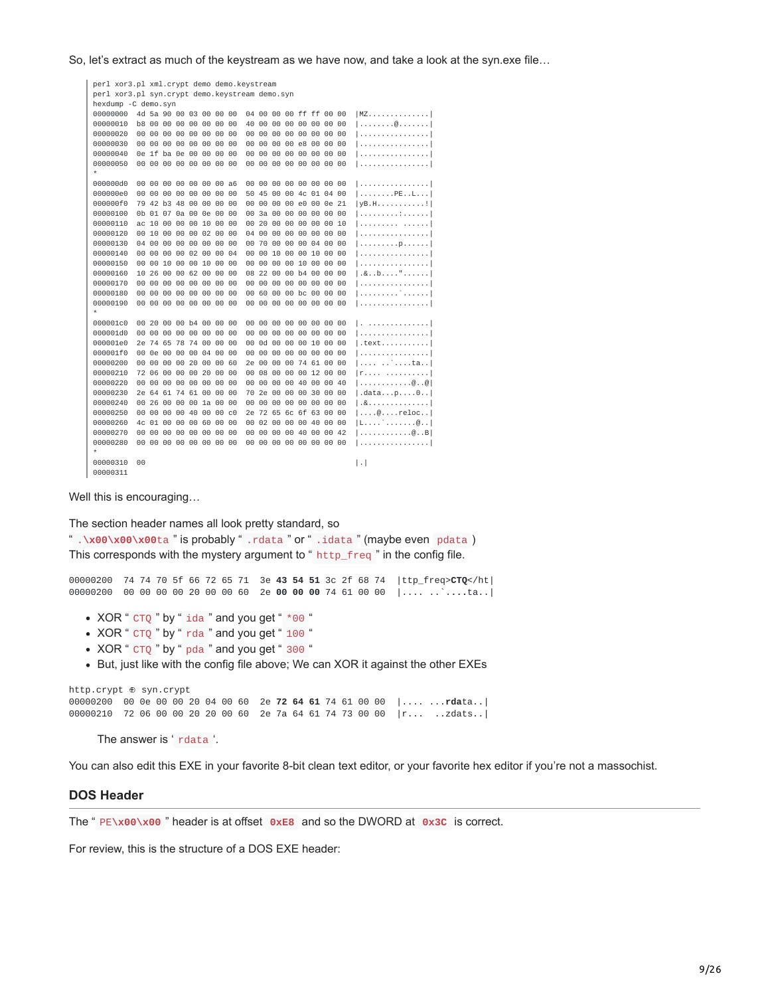So, let's extract as much of the keystream as we have now, and take a look at the syn.exe file…

```
perl xor3.pl xml.crypt demo demo.keystream
perl xor3.pl syn.crypt demo.keystream demo.syn
hexdump -C demo.syn
00000000 4d 5a 90 00 03 00 00 00 04 00 00 00 ff ff 00 00 IMZ..............
00000010 b8 00 00 00 00 00 00 00 40 00 00 00 00 00 00 00 |........@.......|
00000020 00 00 00 00 00 00 00 00 00 00 00 00 00 00 00 00 |................|
00000030 00 00 00 00 00 00 00 00 00 00 00 00 e8 00 00 00 |................|
00000040 0e 1f ba 0e 00 00 00 00 00 00 00 00 00 00 00 00 |................|
00000050 00 00 00 00 00 00 00 00 00 00 00 00 00 00 00 00 |................|
*
000000d0 00 00 00 00 00 00 00 a6 00 00 00 00 00 00 00 00 |................|
000000e0 00 00 00 00 00 00 00 00 50 45 00 00 4c 01 04 00 |........PE..L...|
000000f0 79 42 b3 48 00 00 00 00 00 00 00 00 e0 00 0e 21 |yB.H...........!|
00000100 0b 01 07 0a 00 0e 00 00 00 3a 00 00 00 00 00 00 |................
00000110 ac 10 00 00 00 10 00 00 00 20 00 00 00 00 00 10 |.................
00000120 00 10 00 00 00 02 00 00 04 00 00 00 00 00 00 00 |...............
00000130 04 00 00 00 00 00 00 00 00 70 00 00 00 04 00 00 |.................
00000140 00 00 00 00 02 00 00 04 00 00 10 00 00 10 00 00 |................|
00000150 00 00 10 00 00 10 00 00 00 00 00 00 10 00 00 00 |................|
00000160  10  26  00  00  62  00  00  00  08  22  00  00  b4  00  00  00  |.&..b...."......
00000170 00 00 00 00 00 00 00 00 00 00 00 00 00 00 00 00 |................|
00000180 00 00 00 00 00 00 00 00 00 60 00 00 bc 00 00 00 |.........`......|
00000190 00 00 00 00 00 00 00 00 00 00 00 00 00 00 00 00 |................|
*
000001c0 00 20 00 00 b4 00 00 00 00 00 00 00 00 00 00 00 |. ..............|
000001d0 00 00 00 00 00 00 00 00 00 00 00 00 00 00 00 00 |................|
000001e0 2e 74 65 78 74 00 00 00 00 00 00 00 00 00 10 00 00 | text..........
000001f0 00 0e 00 00 00 04 00 00 00 00 00 00 00 00 00 00 |................|
00000200 00 00 00 00 20 00 00 60 2e 00 00 00 74 61 00 00 |.... ..`....ta..
00000210 72 06 00 00 00 20 00 00 00 08 00 00 00 12 00 00 | r.... ..........
00000220 00 00 00 00 00 00 00 00 00 00 00 00 40 00 00 40 |............@..@|
00000230 2e 64 61 74 61 00 00 00 70 2e 00 00 00 30 00 00 |.data...p....0..|
00000240 00 26 00 00 00 1a 00 00 00 00 00 00 00 00 00 00 |.&..............|
00000250 00 00 00 00 40 00 00 c0 2e 72 65 6c 6f 63 00 00
00000260 4c 01 00 00 00 60 00 00 00 02 00 00 00 40 00 00 |L....`.......@..|
00000270 00 00 00 00 00 00 00 00 00 00 00 00 40 00 00 42 |............@..B|
00000280 00 00 00 00 00 00 00 00 00 00 00 00 00 00 00 00 |................|
*
00000310 00 |.|
00000311
```
Well this is encouraging…

The section header names all look pretty standard, so

" .**\x00\x00\x00**ta " is probably " .rdata " or " .idata " (maybe even pdata ) This corresponds with the mystery argument to " $h$ ttp\_freq" in the config file.

00000200 74 74 70 5f 66 72 65 71 3e **43 54 51** 3c 2f 68 74 |ttp\_freq>**CTQ**</ht| 00000200 00 00 00 00 20 00 00 60 2e **00 00 00** 74 61 00 00 |.... ..`.**...**ta..|

- $\bullet$  XOR " CTQ " by " ida " and you get "  $*$ 00 "
- XOR " CTQ " by " rda " and you get " 100 "
- XOR " CTQ " by " pda " and you get " 300 "
- But, just like with the config file above; We can XOR it against the other EXEs

http.crypt ⊕ syn.crypt 00000200 00 0e 00 00 20 04 00 60 2e **72 64 61** 74 61 00 00 |.... ...**rda**ta..| 00000210 72 06 00 00 20 20 00 60 2e 7a 64 61 74 73 00 00 |r... ..zdats..|

The answer is ' rdata '.

You can also edit this EXE in your favorite 8-bit clean text editor, or your favorite hex editor if you're not a massochist.

#### **DOS Header**

The " PE**\x00\x00** " header is at offset **0xE8** and so the DWORD at **0x3C** is correct.

For review, this is the structure of a DOS EXE header: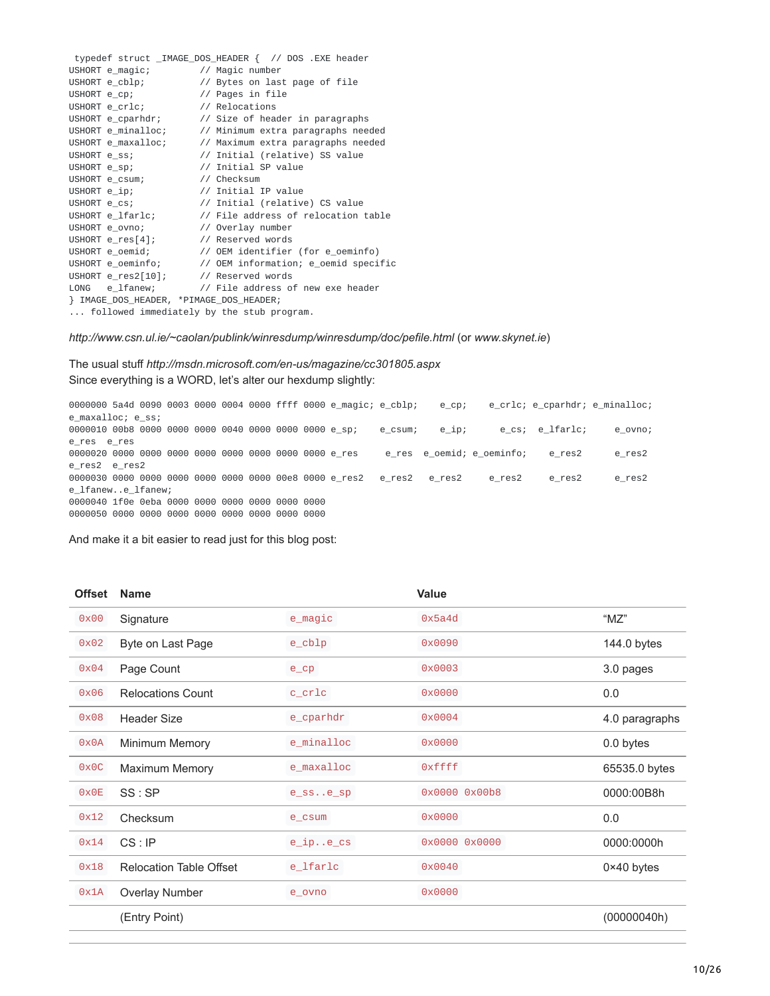|                                           | typedef struct _IMAGE_DOS_HEADER { // DOS .EXE header             |
|-------------------------------------------|-------------------------------------------------------------------|
| USHORT e_magic; // Magic number           |                                                                   |
|                                           | USHORT e_cblp; // Bytes on last page of file                      |
| USHORT e_cp; // Pages in file             |                                                                   |
| USHORT e_crlc; // Relocations             |                                                                   |
|                                           | USHORT e_cparhdr; // Size of header in paragraphs                 |
|                                           | USHORT $e_{\text{minalloc}}$ ; // Minimum extra paragraphs needed |
|                                           | USHORT e_maxalloc; // Maximum extra paragraphs needed             |
| USHORT e_ss;                              | // Initial (relative) SS value                                    |
| USHORT e_sp; // Initial SP value          |                                                                   |
| USHORT e_csum; // Checksum                |                                                                   |
| USHORT e_ip; // Initial IP value          |                                                                   |
|                                           | USHORT e_cs; // Initial (relative) CS value                       |
|                                           | USHORT e_lfarlc; // File address of relocation table              |
| USHORT e_ovno; // Overlay number          |                                                                   |
| USHORT e_res[4]; // Reserved words        |                                                                   |
|                                           | USHORT e_oemid; // OEM identifier (for e_oeminfo)                 |
|                                           | USHORT e_oeminfo; // OEM information; e_oemid specific            |
| USHORT e_res2[10]; // Reserved words      |                                                                   |
|                                           | LONG e_lfanew; // File address of new exe header                  |
|                                           |                                                                   |
| followed immediately by the stub program. |                                                                   |

*http://www.csn.ul.ie/~caolan/publink/winresdump/winresdump/doc/pefile.html* (or *www.skynet.ie*)

The usual stuff *http://msdn.microsoft.com/en-us/magazine/cc301805.aspx* Since everything is a WORD, let's alter our hexdump slightly:

0000000 5a4d 0090 0003 0000 0004 0000 ffff 0000 e\_magic; e\_cblp; e\_cp; e\_crlc; e\_cparhdr; e\_minalloc; e\_maxalloc; e\_ss; 0000010 00b8 0000 0000 0000 0040 0000 0000 0000 e\_sp; e\_csum; e\_ip; e\_cs; e\_lfarlc; e\_ovno; e\_res e\_res 0000020 0000 0000 0000 0000 0000 0000 0000 0000 e\_res e\_res e\_oemid; e\_oeminfo; e\_res2 e\_res2 e\_res2 e\_res2 0000030 0000 0000 0000 0000 0000 0000 00e8 0000 e\_res2 e\_res2 e\_res2 e\_res2 e\_res2 e\_res2 e\_lfanew..e\_lfanew; 0000040 1f0e 0eba 0000 0000 0000 0000 0000 0000 0000050 0000 0000 0000 0000 0000 0000 0000 0000

And make it a bit easier to read just for this blog post:

| <b>Offset</b> | <b>Name</b>                    |                               | Value         |                     |
|---------------|--------------------------------|-------------------------------|---------------|---------------------|
| 0x00          | Signature                      | e_magic                       | 0x5a4d        | " $MZ"$             |
| 0x02          | Byte on Last Page              | $e$ _ $cb1p$                  | 0x0090        | 144.0 bytes         |
| 0x04          | Page Count                     | $e_{C}$                       | 0x0003        | 3.0 pages           |
| 0x06          | <b>Relocations Count</b>       | $c$ <sub>c</sub> $c$ $r$ $1c$ | 0x0000        | 0.0                 |
| 0x08          | <b>Header Size</b>             | e_cparhdr                     | 0x0004        | 4.0 paragraphs      |
| 0x0A          | <b>Minimum Memory</b>          | e_minalloc                    | 0x0000        | 0.0 bytes           |
| 0x0C          | <b>Maximum Memory</b>          | e_maxalloc                    | 0xffff        | 65535.0 bytes       |
| 0x0E          | SS : SP                        | $e$ _ss $e$ _sp               | 0x0000 0x00b8 | 0000:00B8h          |
| 0x12          | Checksum                       | e_csum                        | 0x0000        | 0.0                 |
| 0x14          | CS : IP                        | $e$ _ip $e$ _cs               | 0x0000 0x0000 | 0000:0000h          |
| 0x18          | <b>Relocation Table Offset</b> | e_lfarlc                      | 0x0040        | $0 \times 40$ bytes |
| 0x1A          | Overlay Number                 | e_ovno                        | 0x0000        |                     |
|               | (Entry Point)                  |                               |               | (00000040h)         |
|               |                                |                               |               |                     |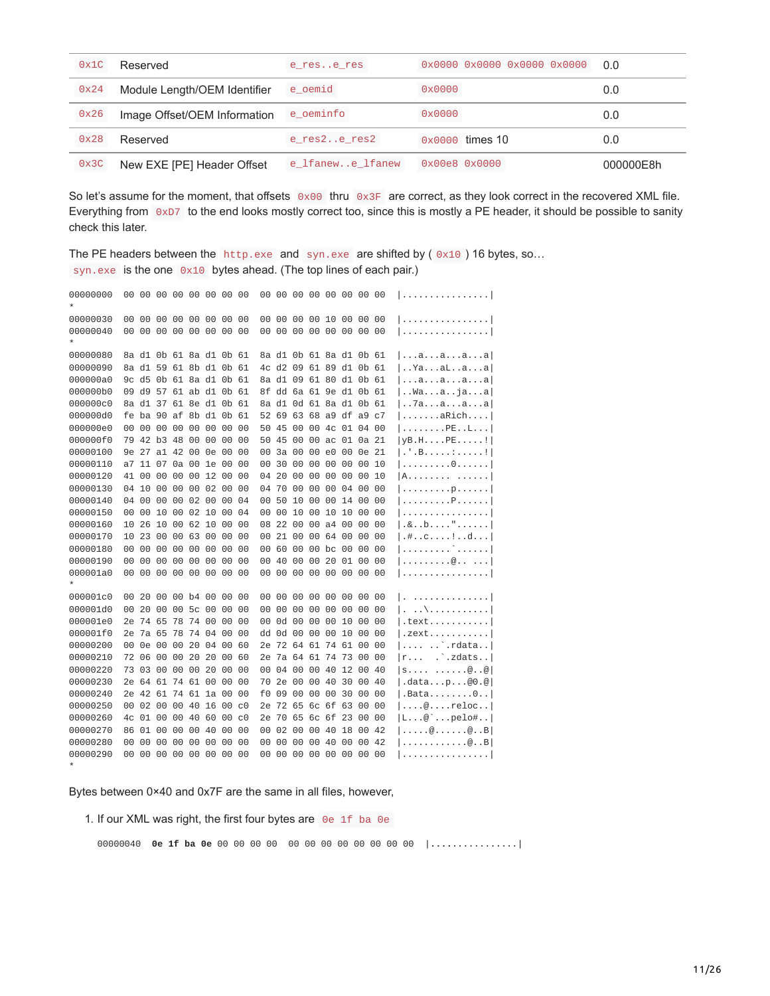| 0x1C | Reserved                     | e rese res       | $0 \times 0000$ 0x0000 0x0000 0x0000 | 0.0       |
|------|------------------------------|------------------|--------------------------------------|-----------|
| 0x24 | Module Length/OEM Identifier | e oemid          | $0 \times 0000$                      | 0.0       |
| 0x26 | Image Offset/OEM Information | e oeminfo        | $0 \times 0000$                      | 0.0       |
| 0x28 | Reserved                     | e res2e res2     | 0x0000 times 10                      | 0.0       |
| 0x3C | New EXE [PE] Header Offset   | e lfanewe lfanew | $0 \times 00e8$ $0 \times 0000$      | 000000F8h |

So let's assume for the moment, that offsets  $0 \times 00$  thru  $0 \times 3F$  are correct, as they look correct in the recovered XML file. Everything from 0xD7 to the end looks mostly correct too, since this is mostly a PE header, it should be possible to sanity check this later.

The PE headers between the http.exe and syn.exe are shifted by  $(0 \times 10)$  16 bytes, so... syn.exe is the one  $0x10$  bytes ahead. (The top lines of each pair.)

| 00000000 | 00 |       |    |          |                      |          | 00 00 00 00 00 00 00    |                | 00  |    |    |          |                | 00 00 00 00 00 00 00    |       |    | . 1                                                         |
|----------|----|-------|----|----------|----------------------|----------|-------------------------|----------------|-----|----|----|----------|----------------|-------------------------|-------|----|-------------------------------------------------------------|
| 00000030 | 00 | 00    | 00 |          | 00 00                | 00       | 00                      | 00             | 00  | 00 | 00 | 00 10    |                | 00                      | 00    | 00 | 1                                                           |
| 00000040 | 00 |       |    |          | 00 00 00 00 00       |          | 00                      | 00             | 00  | 00 |    | 00 00 00 |                | 00                      | 00 00 |    | . 1                                                         |
| 00000080 |    |       |    |          |                      |          | 8a d1 0b 61 8a d1 0b 61 |                |     |    |    |          |                | 8a d1 0b 61 8a d1 0b 61 |       |    | aaaa                                                        |
| 00000090 |    |       |    |          |                      |          | 8a d1 59 61 8b d1 0b 61 |                | 4c. |    |    |          |                | d2 09 61 89 d1 0b 61    |       |    | $ .\cdot$ Ya $\ldots$ a $L \ldots a \ldots a $              |
| 000000a0 |    |       |    |          |                      |          | 9c d5 0b 61 8a d1 0b 61 |                |     |    |    |          |                | 8a d1 09 61 80 d1 0b 61 |       |    | aaaaa                                                       |
| 000000b0 |    | 09 d9 |    |          |                      |          | 57 61 ab d1 0b 61       |                | 8f  | dd |    |          |                | 6a 61 9e d1             | 0b 61 |    | waajaa                                                      |
| 000000c0 |    | 8a d1 |    |          |                      |          | 37 61 8e d1 0b          | 61             | 8a  | d1 |    |          | 0d 61 8a d1    |                         | 0b    | 61 | 7aaaa                                                       |
| 000000d0 | fe |       |    |          | ba 90 af 8b d1       |          | 0b 61                   |                | 52  | 69 |    |          | 63 68 a9 df    |                         | а9 с7 |    | $  \ldots \ldots$ .aRich                                    |
| 000000e0 | 00 | 00    | 00 | 00       | 00                   | 00       | 00                      | 00             | 50  | 45 |    |          | 00 00 4c 01    |                         | 04    | 00 | PEL                                                         |
| 000000f0 |    | 79 42 |    | b3 48    | 00 00                |          | 00                      | 00             | 50  | 45 | 00 |          |                | 00 ac 01 0a 21          |       |    | VB.HPE                                                      |
| 00000100 | 9e | 27    |    | a1 42    | 00                   | 0e       | 00                      | 00             | 00  | За | 00 | 00       | e0             | 00                      | 0e    | 21 | $ .\cdot  $ . B. : !                                        |
| 00000110 | a7 |       |    |          | 11 07 0a 00 1e 00    |          |                         | 00             | 00  | 30 | 00 | 00       | 00             | 00                      | 00    | 10 | 0                                                           |
| 00000120 |    | 41 00 | 00 | 00       | 00                   | 12 00    |                         | 00             | 04  | 20 | 00 | 00       | 00             | 00                      | 00    | 10 | [A]                                                         |
| 00000130 |    | 04 10 |    | 00 00    |                      | 00 02 00 |                         | 00             | 04  | 70 |    |          | 00 00 00       | 04                      | 00    | 00 | p                                                           |
| 00000140 | 04 | 00    | 00 | 00       | 02 00                |          | 00                      | 04             | 00  | 50 | 10 |          | 00 00 14       |                         | 00    | 00 | $ $ P                                                       |
| 00000150 | 00 | 00    | 10 | 00       | 02 10                |          | 00                      | 04             | 00  | 00 | 10 | 00 10    |                | 10                      | 00    | 00 |                                                             |
| 00000160 | 10 | 26    |    |          | 10 00 62 10          |          | 00                      | 00             | 08  | 22 | 00 |          | 00 a4 00       |                         | 00    | 00 | .8b,"                                                       |
| 00000170 | 10 | 23    | 00 |          | 00 63                | 00       | 00                      | 00             | 00  | 21 | 00 |          | 00 64          | 00                      | 00    | 00 | .#c . .d                                                    |
| 00000180 | 00 | 00    | 00 | 00       | 00                   | 00       | 00                      | 00             | 00  | 60 | 00 | 00 bc    |                | 00                      | 00    | 00 | 1. ` 1                                                      |
| 00000190 | 00 | 00    | 00 | 00       | 00                   | 00       | 00                      | 00             | 00  | 40 | 00 | 00       | 20             | 01                      | 00    | 00 | $  \ldots \ldots \ldots \emptyset \ldots \ldots  $          |
| 000001a0 | 00 | 00    |    | 00 00 00 |                      | 00       | 00                      | 00             | 00  | 00 | 00 | 00 00    |                | 00                      | 00    | 00 | . 1                                                         |
| 000001c0 | 00 | 20    |    |          | 00 00 b4 00          |          | 00                      | 00             | 00  | 00 | 00 | 00 00    |                | 00                      | 00    | 00 | . 1                                                         |
| 000001d0 | 00 | 20    | 00 | 00       | 5 <sub>c</sub>       | 00       | 00                      | 00             | 00  | 00 | 00 | 00       | 00             | 00                      | 00    | 00 | . \ 1<br>Ι.                                                 |
| 000001e0 | 2e | -74   | 65 |          | 78 74 00             |          | 00                      | 00             | 00  | 0d | 00 | 00 00    |                | 10                      | 00    | 00 | $ .$ text $$                                                |
| 000001f0 | 2e | 7a 65 |    |          | 78 74 04             |          | 00                      | 00             | dd  | 0d | 00 | 00 00    |                | 10                      | 00    | 00 | .zext                                                       |
| 00000200 | 00 | 0e    | 00 | 00       | 20 04                |          | 00                      | 60             | 2e  | 72 |    |          | 64 61 74 61    |                         | 00    | 00 | $ $ rdata                                                   |
| 00000210 | 72 | 06    | 00 | 00       | 20                   | 20       | 00                      | 60             | 2e  |    |    |          | 7a 64 61 74 73 |                         | 00    | 00 | $\therefore$ zdats<br> r                                    |
| 00000220 | 73 | 03    | 00 | 00       | 00                   | 20       | 00                      | 00             | 00  | 04 | 00 | 00       | 40             | 12                      | 00    | 40 | S@@                                                         |
| 00000230 |    |       |    |          | 2e 64 61 74 61 00    |          | 00                      | 00             | 70  | 2e | 00 | 00 40    |                | 30                      | 00    | 40 | .datap@0.@                                                  |
| 00000240 |    |       |    |          | 2e 42 61 74 61 1a 00 |          |                         | 00             | f0  | 09 | 00 |          | 00 00 30       |                         | 00    | 00 | $ $ .Bata $0$                                               |
| 00000250 | 00 |       |    |          |                      |          | 02 00 00 40 16 00       | C <sub>0</sub> | 2e  | 72 |    |          | 65 6c 6f 63    |                         | 00    | 00 | $  \ldots @ \ldots$ reloc                                   |
| 00000260 | 4c | 01    | 00 | 00 40    |                      | 60       | 00                      | C <sub>0</sub> | 2e  | 70 |    |          | 65 6c 6f 23    |                         | 00    | 00 | $ L \ldots @$ $p$ elo#                                      |
| 00000270 | 86 | 01    |    | 00 00    |                      | 00 40    | 00                      | 00             | 00  | 02 | 00 | 00 40    |                | 18                      | 00 42 |    | $  \ldots \dots \emptyset \ldots \dots \emptyset \ldots B $ |
| 00000280 | 00 | 00    | 00 | 00       | 00                   | 00       | 00                      | 00             | 00  | 00 | 00 | 00       | 40             | 00                      | 00 42 |    | . @. . B                                                    |
| 00000290 | 00 |       |    |          | 00 00 00 00 00 00    |          |                         | 00             | 00. |    |    |          | 00 00 00 00 00 |                         | 00 00 |    |                                                             |
|          |    |       |    |          |                      |          |                         |                |     |    |    |          |                |                         |       |    |                                                             |

Bytes between 0×40 and 0x7F are the same in all files, however,

1. If our XML was right, the first four bytes are  $0e$  1f ba 0e

00000040 **0e 1f ba 0e** 00 00 00 00 00 00 00 00 00 00 00 00 |**....**............|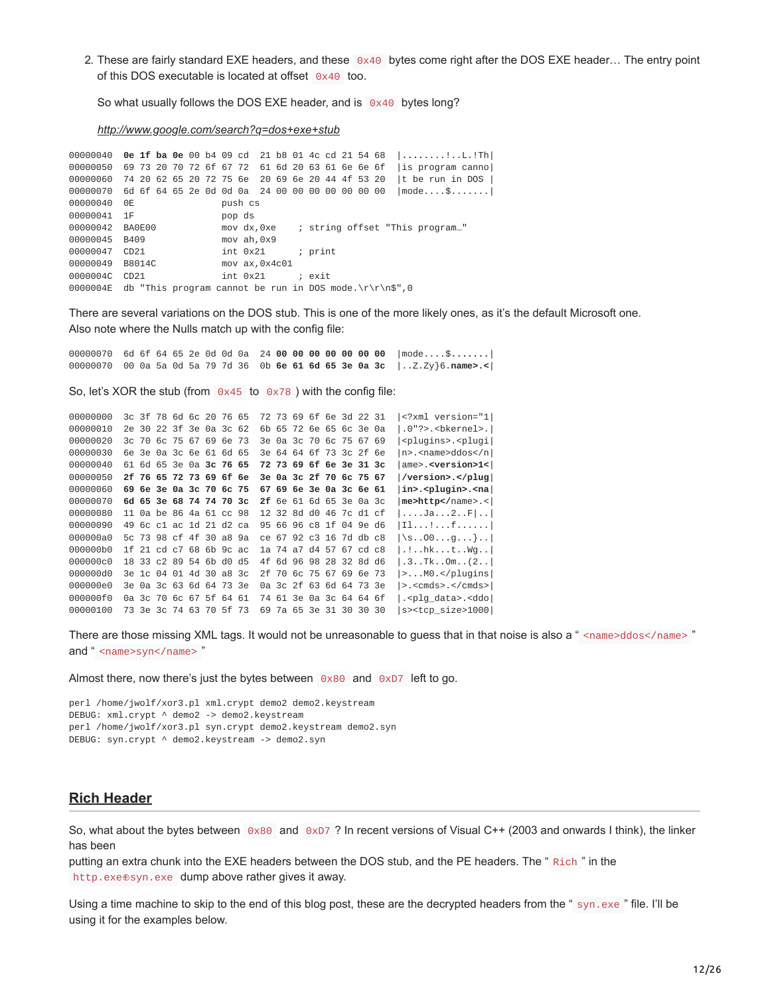2. These are fairly standard EXE headers, and these  $0 \times 40$  bytes come right after the DOS EXE header... The entry point of this DOS executable is located at offset 0x40 too.

So what usually follows the DOS EXE header, and is 0x40 bytes long?

*[http://www.google.com/search?q=dos+exe+stub](https://web.archive.org/web/20140428201836/http://www.google.com/search?q=dos+exe+stub)*

00000040 **0e 1f ba 0e** 00 b4 09 cd 21 b8 01 4c cd 21 54 68 |**....**....!..L.!Th| 00000050 69 73 20 70 72 6f 67 72 61 6d 20 63 61 6e 6e 6f |is program canno| 00000060 74 20 62 65 20 72 75 6e 20 69 6e 20 44 4f 53 20 |t be run in DOS | 00000070 6d 6f 64 65 2e 0d 0d 0a 24 00 00 00 00 00 00 00 |mode....\$.......| 00000040 0E push cs 00000041 1F pop ds<br>00000042 BA0E00 mov dx. mov dx,0xe ; string offset "This program..." 00000045 B409 mov ah, 0x9 00000047 CD21 int 0x21 ; print 00000049 B8014C mov ax,0x4c01 0000004C CD21 int 0x21 ; exit 0000004E db "This program cannot be run in DOS mode.\r\r\n\$",0

There are several variations on the DOS stub. This is one of the more likely ones, as it's the default Microsoft one. Also note where the Nulls match up with the config file:

00000070 6d 6f 64 65 2e 0d 0d 0a 24 **00 00 00 00 00 00 00** |mode....\$**.......**| 00000070 00 0a 5a 0d 5a 79 7d 36 0b **6e 61 6d 65 3e 0a 3c** |..Z.Zy}6.**name>.<**|

So, let's XOR the stub (from  $0 \times 45$  to  $0 \times 78$ ) with the config file:

```
00000000 3c 3f 78 6d 6c 20 76 65 72 73 69 6f 6e 3d 22 31 |<?xml version="1|
00000010 2e 30 22 3f 3e 0a 3c 62 6b 65 72 6e 65 6c 3e 0a |.0"?>.<bkernel>.|
00000020 3c 70 6c 75 67 69 6e 73 3e 0a 3c 70 6c 75 67 69 |<plugins>.<plugi|
00000030 6e 3e 0a 3c 6e 61 6d 65 3e 64 64 6f 73 3c 2f 6e |n>.<name>ddos</n|
00000040 61 6d 65 3e 0a 3c 76 65 72 73 69 6f 6e 3e 31 3c |ame>.<version>1<|
00000050 2f 76 65 72 73 69 6f 6e 3e 0a 3c 2f 70 6c 75 67 |/version>.</plug|
00000060 69 6e 3e 0a 3c 70 6c 75 67 69 6e 3e 0a 3c 6e 61 |in>.<plugin>.<na|
00000070 6d 65 3e 68 74 74 70 3c 2f 6e 61 6d 65 3e 0a 3c |me>http</name>.<|
00000080 11 0a be 86 4a 61 cc 98 12 32 8d d0 46 7c d1 cf |....Ja...2..F|..|
00000090 49 6c c1 ac 1d 21 d2 ca 95 66 96 c8 1f 04 9e d6 |Il...!...f......|
000000a0 5c 73 98 cf 4f 30 a8 9a ce 67 92 c3 16 7d db c8 |\s..O0...g...}..|
000000b0 1f 21 cd c7 68 6b 9c ac 1a 74 a7 d4 57 67 cd c8 |.!..hk...t..Wg..|
000000c0 18 33 c2 89 54 6b d0 d5 4f 6d 96 98 28 32 8d d6 |.3..Tk..Om..(2..|
000000d0 3e 1c 04 01 4d 30 a8 3c 2f 70 6c 75 67 69 6e 73 |>...M0.</plugins|
000000e0 3e 0a 3c 63 6d 64 73 3e 0a 3c 2f 63 6d 64 73 3e |>.<cmds>.</cmds>|
000000f0 0a 3c 70 6c 67 5f 64 61 74 61 3e 0a 3c 64 64 6f |.<plg_data>.<ddo|
00000100 73 3e 3c 74 63 70 5f 73 69 7a 65 3e 31 30 30 30 |s><tcp_size>1000|
```
There are those missing XML tags. It would not be unreasonable to guess that in that noise is also a " <name>ddos</name>" and " <name>syn</name> "

Almost there, now there's just the bytes between  $0 \times 80$  and  $0 \times D7$  left to go.

perl /home/jwolf/xor3.pl xml.crypt demo2 demo2.keystream DEBUG: xml.crypt ^ demo2 -> demo2.keystream perl /home/jwolf/xor3.pl syn.crypt demo2.keystream demo2.syn DEBUG: syn.crypt ^ demo2.keystream -> demo2.syn

#### **Rich Header**

So, what about the bytes between  $0 \times 80$  and  $0 \times D7$ ? In recent versions of Visual C++ (2003 and onwards I think), the linker has been

putting an extra chunk into the EXE headers between the DOS stub, and the PE headers. The " Rich " in the http.exe⊕syn.exe dump above rather gives it away.

Using a time machine to skip to the end of this blog post, these are the decrypted headers from the " syn.exe " file. I'll be using it for the examples below.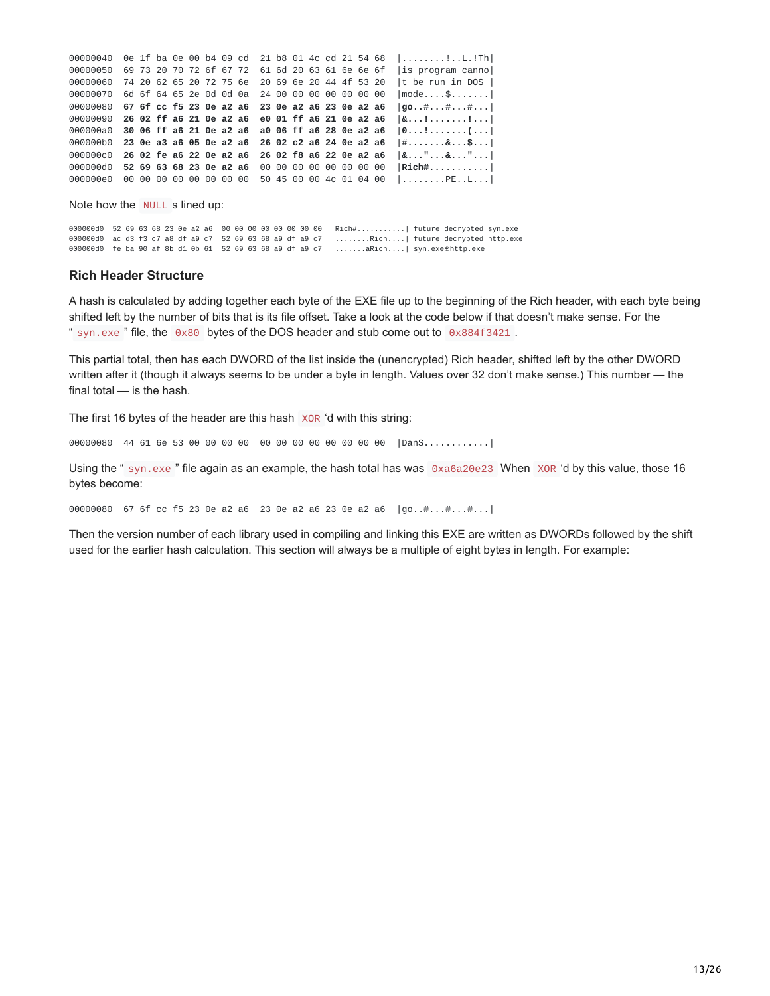| 00000040 |  |  |  | 0e 1f ba 0e 00 b4 09 cd 21 b8 01 4c cd 21 54 68 |  |  |  |  | $\left[\ldots \ldots \ldots \ldots \ldots \ldots \ldots \ldots \ldots \right]$ |
|----------|--|--|--|-------------------------------------------------|--|--|--|--|--------------------------------------------------------------------------------|
| 00000050 |  |  |  | 69 73 20 70 72 6f 67 72 61 6d 20 63 61 6e 6e 6f |  |  |  |  | lis program cannol                                                             |
| 00000060 |  |  |  | 74 20 62 65 20 72 75 6e 20 69 6e 20 44 4f 53 20 |  |  |  |  | $ t$ be run in DOS $ $                                                         |
| 00000070 |  |  |  | 6d 6f 64 65 2e 0d 0d 0a 24 00 00 00 00 00 00 00 |  |  |  |  | $ mode$ \$                                                                     |
| 00000080 |  |  |  | 67 6f cc f5 23 0e a2 a6 23 0e a2 a6 23 0e a2 a6 |  |  |  |  | qq0###                                                                         |
| 00000090 |  |  |  | 26 02 ff a6 21 0e a2 a6 e0 01 ff a6 21 0e a2 a6 |  |  |  |  | 8!!                                                                            |
| 000000a0 |  |  |  | 30 06 ff a6 21 0e a2 a6 a0 06 ff a6 28 0e a2 a6 |  |  |  |  | 0!                                                                             |
| 000000h0 |  |  |  | 23 0e a3 a6 05 0e a2 a6 26 02 c2 a6 24 0e a2 a6 |  |  |  |  | $ #$ &\$                                                                       |
| 000000c0 |  |  |  | 26 02 fe a6 22 0e a2 a6 26 02 f8 a6 22 0e a2 a6 |  |  |  |  | $ & \ldots$ "&"                                                                |
| 00000000 |  |  |  | 52 69 63 68 23 0e a2 a6 00 00 00 00 00 00 00 00 |  |  |  |  | $\vert$ Rich#                                                                  |
| 000000e0 |  |  |  | 00 00 00 00 00 00 00 00 50 45 00 00 4c 01 04 00 |  |  |  |  | $ P_{EL} $                                                                     |
|          |  |  |  |                                                 |  |  |  |  |                                                                                |

Note how the NULL s lined up:

000000d0 52 69 63 68 23 0e a2 a6 00 00 00 00 00 00 00 00 | Rich#............| future decrypted syn.exe 000000d0 ac d3 f3 c7 a8 df a9 c7 52 69 63 68 a9 df a9 c7 |........Rich....| future decrypted http.exe 000000d0 fe ba 90 af 8b d1 0b 61 52 69 63 68 a9 df a9 c7 |......aRich....| syn.exe⊕http.exe

#### **Rich Header Structure**

A hash is calculated by adding together each byte of the EXE file up to the beginning of the Rich header, with each byte being shifted left by the number of bits that is its file offset. Take a look at the code below if that doesn't make sense. For the " syn.exe " file, the 0x80 bytes of the DOS header and stub come out to 0x884f3421.

This partial total, then has each DWORD of the list inside the (unencrypted) Rich header, shifted left by the other DWORD written after it (though it always seems to be under a byte in length. Values over 32 don't make sense.) This number — the final total - is the hash.

The first 16 bytes of the header are this hash xone 'd with this string:

00000080 44 61 6e 53 00 00 00 00 00 00 00 00 00 00 00 00 | DanS...........|

Using the " syn.exe " file again as an example, the hash total has was 0xa6a20e23 When XOR 'd by this value, those 16 bytes become:

00000080 67 6f cc f5 23 0e a2 a6 23 0e a2 a6 23 0e a2 a6 |go..#...#...#...|

Then the version number of each library used in compiling and linking this EXE are written as DWORDs followed by the shift used for the earlier hash calculation. This section will always be a multiple of eight bytes in length. For example: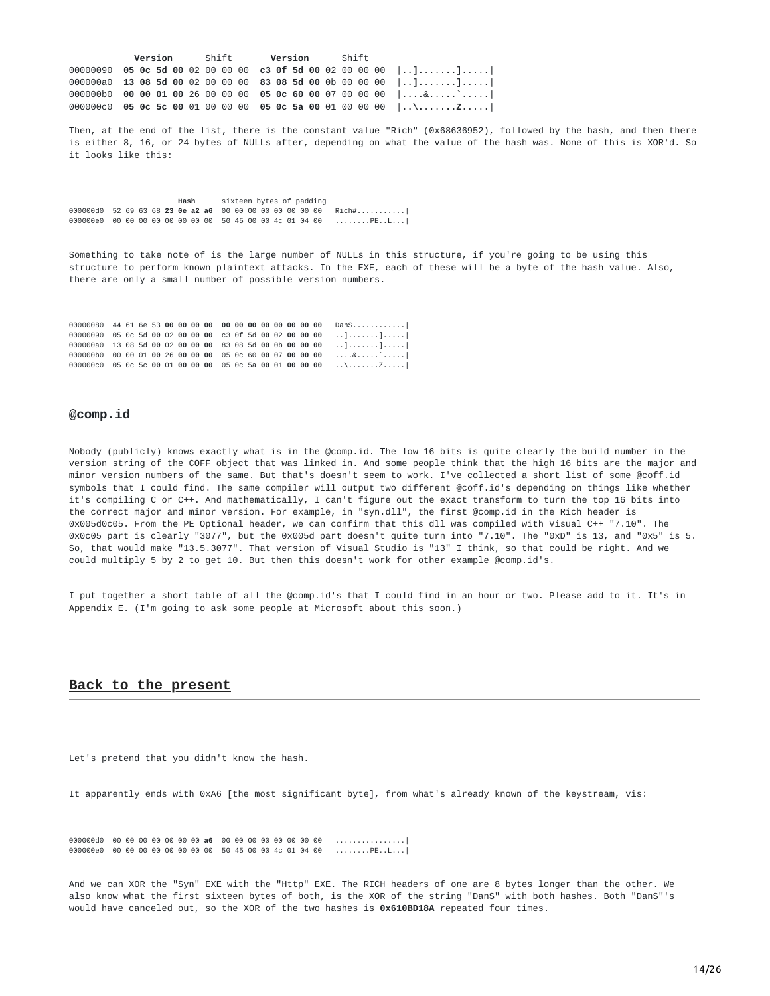|  |  |  |  | <b>Version</b> Shift <b>Version</b> Shift |  |  |  |  |                                                                 |
|--|--|--|--|-------------------------------------------|--|--|--|--|-----------------------------------------------------------------|
|  |  |  |  |                                           |  |  |  |  | 00000090 05 0c 5d 00 02 00 00 00 c3 0f 5d 00 02 00 00 00 $ ]$ ] |
|  |  |  |  |                                           |  |  |  |  | 000000a0 13 08 5d 00 02 00 00 00 83 08 5d 00 0b 00 00 00 $ ]$ ] |
|  |  |  |  |                                           |  |  |  |  | 000000b0 00 00 01 00 26 00 00 00 05 0c 60 00 07 00 00 00 $ 8 $  |
|  |  |  |  |                                           |  |  |  |  |                                                                 |

Then, at the end of the list, there is the constant value "Rich" (0x68636952), followed by the hash, and then there is either 8, 16, or 24 bytes of NULLs after, depending on what the value of the hash was. None of this is XOR'd. So it looks like this:

**Hash** sixteen bytes of padding 000000d0 52 69 63 68 **23 0e a2 a6** 00 00 00 00 00 00 00 00 |Rich**#...**........| 000000e0 00 00 00 00 00 00 00 00 50 45 00 00 4c 01 04 00 |........PE..L...|

Something to take note of is the large number of NULLs in this structure, if you're going to be using this structure to perform known plaintext attacks. In the EXE, each of these will be a byte of the hash value. Also, there are only a small number of possible version numbers.

00000080 44 61 6e 53 **00 00 00 00 00 00 00 00 00 00 00 00** |DanS**............**| 00000090 05 0c 5d **00** 02 **00 00 00** c3 0f 5d **00** 02 **00 00 00** |..]**.**.**...**..]**.**.**...**| 000000a0 13 08 5d **00** 02 **00 00 00** 83 08 5d **00** 0b **00 00 00** |..]**.**.**...**..]**.**.**...**| 000000b0 00 00 01 **00** 26 **00 00 00** 05 0c 60 **00** 07 **00 00 00** |...**.**&**...**..`**.**.**...**| 000000c0 05 0c 5c **00** 01 **00 00 00** 05 0c 5a **00** 01 **00 00 00** |..\**.**.**...**..Z**.**.**...**|

#### **@comp.id**

Nobody (publicly) knows exactly what is in the @comp.id. The low 16 bits is quite clearly the build number in the version string of the COFF object that was linked in. And some people think that the high 16 bits are the major and minor version numbers of the same. But that's doesn't seem to work. I've collected a short list of some @coff.id symbols that I could find. The same compiler will output two different @coff.id's depending on things like whether it's compiling C or C++. And mathematically, I can't figure out the exact transform to turn the top 16 bits into the correct major and minor version. For example, in "syn.dll", the first @comp.id in the Rich header is 0x005d0c05. From the PE Optional header, we can confirm that this dll was compiled with Visual C++ "7.10". The 0x0c05 part is clearly "3077", but the 0x005d part doesn't quite turn into "7.10". The "0xD" is 13, and "0x5" is 5. So, that would make "13.5.3077". That version of Visual Studio is "13" I think, so that could be right. And we could multiply 5 by 2 to get 10. But then this doesn't work for other example @comp.id's.

I put together a short table of all the @comp.id's that I could find in an hour or two. Please add to it. It's in [Appendix](#page-23-0) E. (I'm going to ask some people at Microsoft about this soon.)

#### **Back to the present**

Let's pretend that you didn't know the hash.

It apparently ends with 0xA6 [the most significant byte], from what's already known of the keystream, vis:

000000d0 00 00 00 00 00 00 00 **a6** 00 00 00 00 00 00 00 00 |.......**.**........| 000000e0 00 00 00 00 00 00 00 00 50 45 00 00 4c 01 04 00 |........PE..L...|

And we can XOR the "Syn" EXE with the "Http" EXE. The RICH headers of one are 8 bytes longer than the other. We also know what the first sixteen bytes of both, is the XOR of the string "DanS" with both hashes. Both "DanS"'s would have canceled out, so the XOR of the two hashes is **0x610BD18A** repeated four times.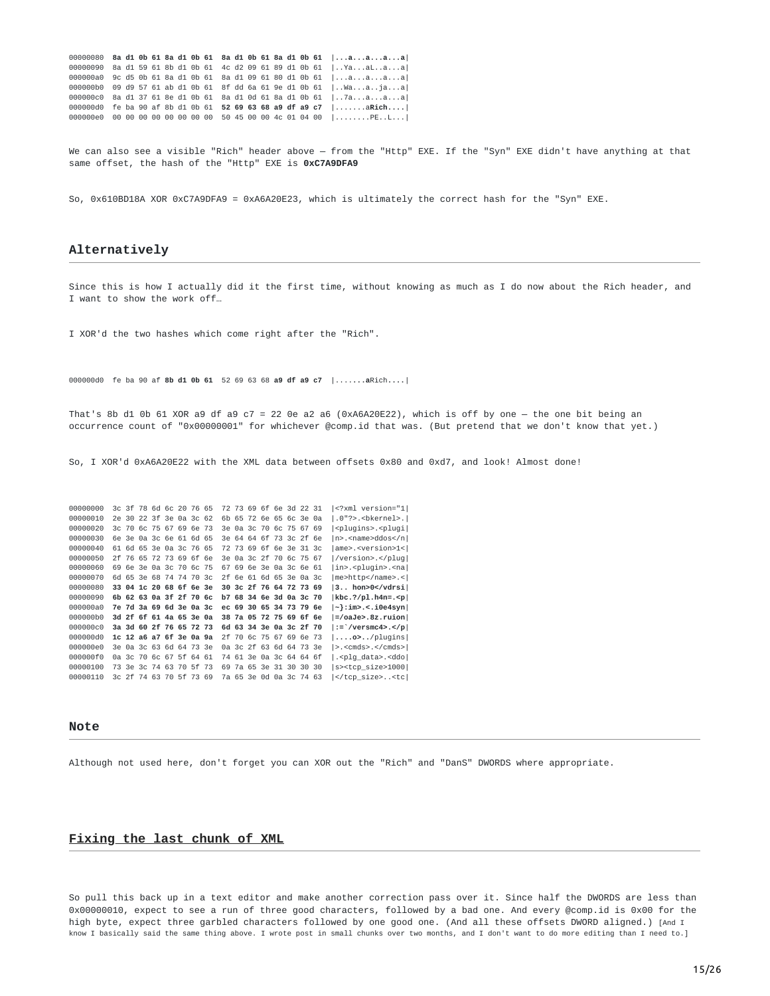|  |  |  |  |  |  |  |  | 00000080 8a d1 0b 61 8a d1 0b 61 8a d1 0b 61 8a d1 0b 61 $ aaaa $   |
|--|--|--|--|--|--|--|--|---------------------------------------------------------------------|
|  |  |  |  |  |  |  |  | 00000090 8a d1 59 61 8b d1 0b 61 4c d2 09 61 89 d1 0b 61   Yaalaa   |
|  |  |  |  |  |  |  |  | 000000a0 9c d5 0b 61 8a d1 0b 61 8a d1 09 61 80 d1 0b 61  aaaa      |
|  |  |  |  |  |  |  |  | 000000b0 09 d9 57 61 ab d1 0b 61 8f dd 6a 61 9e d1 0b 61   . Waajaa |
|  |  |  |  |  |  |  |  | 000000c0 8a d1 37 61 8e d1 0b 61 8a d1 0d 61 8a d1 0b 61   7aaaa    |
|  |  |  |  |  |  |  |  | 00000000 fe ba 90 af 8b d1 0b 61 52 69 63 68 a9 df a9 c7 $ $ aRich  |
|  |  |  |  |  |  |  |  | 000000e0 00 00 00 00 00 00 00 00 50 45 00 00 4c 01 04 00  PEL       |

We can also see a visible "Rich" header above — from the "Http" EXE. If the "Syn" EXE didn't have anything at that same offset, the hash of the "Http" EXE is **0xC7A9DFA9**

So, 0x610BD18A XOR 0xC7A9DFA9 = 0xA6A20E23, which is ultimately the correct hash for the "Syn" EXE.

#### **Alternatively**

Since this is how I actually did it the first time, without knowing as much as I do now about the Rich header, and I want to show the work off…

I XOR'd the two hashes which come right after the "Rich".

000000d0 fe ba 90 af **8b d1 0b 61** 52 69 63 68 **a9 df a9 c7** |....**...a**Rich**....**|

That's 8b d1 0b 61 XOR a9 df a9 c7 = 22 0e a2 a6 (0xA6A20E22), which is off by one — the one bit being an occurrence count of "0x00000001" for whichever @comp.id that was. (But pretend that we don't know that yet.)

So, I XOR'd 0xA6A20E22 with the XML data between offsets 0x80 and 0xd7, and look! Almost done!

| 00000000 |  | 3c 3f 78 6d 6c 20 76 65 |  |  |    |  | 72 73 69 6f 6e 3d 22 31 |  | xml version="1 </th                           |
|----------|--|-------------------------|--|--|----|--|-------------------------|--|-----------------------------------------------|
| 00000010 |  | 2e 30 22 3f 3e 0a 3c 62 |  |  |    |  | 6b 65 72 6e 65 6c 3e 0a |  | .0"?>. <bkernel>. </bkernel>                  |
| 00000020 |  | 3c 70 6c 75 67 69 6e 73 |  |  |    |  | 3e 0a 3c 70 6c 75 67 69 |  | <plugins>.<plugi < td=""></plugi <></plugins> |
| 00000030 |  | 6e 3e 0a 3c 6e 61 6d 65 |  |  |    |  | 3e 64 64 6f 73 3c 2f 6e |  | $ n\rangle$ . <name>ddos</name>               |
| 00000040 |  | 61 6d 65 3e 0a 3c 76 65 |  |  |    |  | 72 73 69 6f 6e 3e 31 3c |  | ame>. <version>1&lt; </version>               |
| 00000050 |  | 2f 76 65 72 73 69 6f 6e |  |  |    |  | 3e 0a 3c 2f 70 6c 75 67 |  | /version>.                                    |
| 00000060 |  | 69 6e 3e 0a 3c 70 6c 75 |  |  |    |  | 67 69 6e 3e 0a 3c 6e 61 |  | in>. <pluqin>.<na < td=""></na <></pluqin>    |
| 00000070 |  | 6d 65 3e 68 74 74 70 3c |  |  |    |  | 2f 6e 61 6d 65 3e 0a 3c |  | me>http.<                                     |
| 00000080 |  | 33 04 1c 20 68 6f 6e 3e |  |  |    |  | 30 3c 2f 76 64 72 73 69 |  | 3 hon>0                                       |
|          |  |                         |  |  |    |  |                         |  |                                               |
| 00000090 |  | 6b 62 63 0a 3f 2f 70 6c |  |  |    |  | b7 68 34 6e 3d 0a 3c 70 |  | $kbc.$ ?/pl.h4n=. <p< td=""></p<>             |
| 000000a0 |  | 7e 7d 3a 69 6d 3e 0a 3c |  |  |    |  | ec 69 30 65 34 73 79 6e |  | ~}:im>.<.i0e4syn                              |
| 000000h0 |  | 3d 2f 6f 61 4a 65 3e 0a |  |  |    |  | 38 7a 05 72 75 69 6f 6e |  | $=$ /oaJe>.8z.ruion                           |
| 000000c0 |  | 3a 3d 60 2f 76 65 72 73 |  |  |    |  | 6d 63 34 3e 0a 3c 2f 70 |  | :=`/versmc4>.                                 |
| 000000d0 |  | 1c 12 a6 a7 6f 3e 0a 9a |  |  |    |  | 2f 70 6c 75 67 69 6e 73 |  | $  \ldots$ .o> $\ldots$ /pluqins $ $          |
| 000000e0 |  | 3e 0a 3c 63 6d 64 73 3e |  |  |    |  | 0a 3c 2f 63 6d 64 73 3e |  | $>$ . <cmds>.</cmds> $ $                      |
| 000000f0 |  | 0a 3c 70 6c 67 5f 64 61 |  |  | 74 |  | 61 3e 0a 3c 64 64 6f    |  | splq_data>. <ddo. < td=""></ddo. <>           |
| 00000100 |  | 73 3e 3c 74 63 70 5f 73 |  |  | 69 |  | 7a 65 3e 31 30 30 30    |  | s> <tcp size="">1000 </tcp>                   |

#### **Note**

<span id="page-14-0"></span>Although not used here, don't forget you can XOR out the "Rich" and "DanS" DWORDS where appropriate.

#### **Fixing the last chunk of XML**

So pull this back up in a text editor and make another correction pass over it. Since half the DWORDS are less than 0x00000010, expect to see a run of three good characters, followed by a bad one. And every @comp.id is 0x00 for the high byte, expect three garbled characters followed by one good one. (And all these offsets DWORD aligned.) [And I know I basically said the same thing above. I wrote post in small chunks over two months, and I don't want to do more editing than I need to.]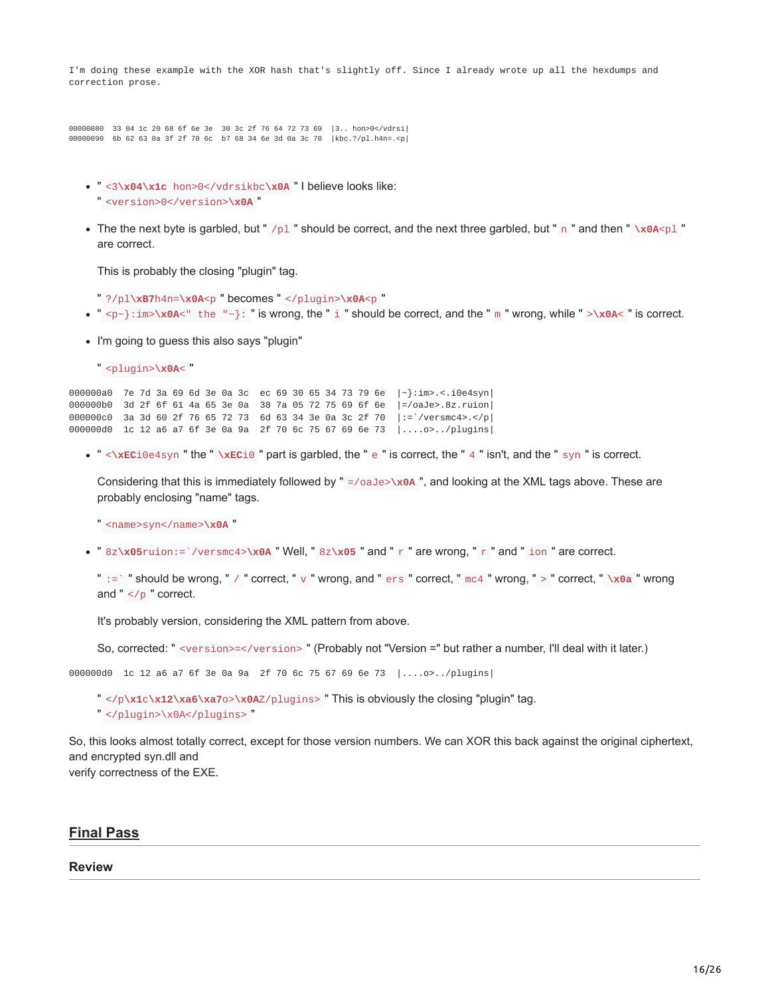I'm doing these example with the XOR hash that's slightly off. Since I already wrote up all the hexdumps and correction prose.

00000080 33 04 1c 20 68 6f 6e 3e 30 3c 2f 76 64 72 73 69 |3.. hon>0</vdrsi| 00000090 6b 62 63 0a 3f 2f 70 6c b7 68 34 6e 3d 0a 3c 70 |kbc.?/pl.h4n=.<p|

- " <3**\x04\x1c** hon>0</vdrsikbc**\x0A** " I believe looks like:
- " <version>0</version>**\x0A** "
- The the next byte is garbled, but "  $/p1$  " should be correct, and the next three garbled, but " n " and then "  $\alpha$ A<pl " are correct.

This is probably the closing "plugin" tag.

- " ?/pl**\xB7**h4n=**\x0A**<p " becomes " </plugin>**\x0A**<p "
- $\bullet$  " <p~}: im>\x0A<" the "~}: " is wrong, the " i " should be correct, and the " m " wrong, while " >\x0A< " is correct.
- I'm going to guess this also says "plugin"
	- " <plugin>**\x0A**< "

000000a0 7e 7d 3a 69 6d 3e 0a 3c ec 69 30 65 34 73 79 6e |~}:im>.<.i0e4syn| 000000b0 3d 2f 6f 61 4a 65 3e 0a 38 7a 05 72 75 69 6f 6e |=/oaJe>.8z.ruion| 000000c0 3a 3d 60 2f 76 65 72 73 6d 63 34 3e 0a 3c 2f 70 |:=`/versmc4>.</p| 000000d0 1c 12 a6 a7 6f 3e 0a 9a 2f 70 6c 75 67 69 6e 73 |....o>../plugins|

" <**\xEC**i0e4syn " the " **\xEC**i0 " part is garbled, the " e " is correct, the " 4 " isn't, and the " syn " is correct.

Considering that this is immediately followed by " =/oaJe>\x0A ", and looking at the XML tags above. These are probably enclosing "name" tags.

" <name>syn</name>**\x0A** "

" 8z**\x05**ruion:=`/versmc4>**\x0A** " Well, " 8z**\x05** " and " r " are wrong, " r " and " ion " are correct.

" :=` " should be wrong, " / " correct, " v " wrong, and " ers " correct, " mc4 " wrong, " > " correct, " **\x0a** " wrong and " $\lt/p$ " correct.

It's probably version, considering the XML pattern from above.

So, corrected: " <version>=</version> " (Probably not "Version =" but rather a number, I'll deal with it later.)

000000d0 1c 12 a6 a7 6f 3e 0a 9a 2f 70 6c 75 67 69 6e 73 |....o>../plugins|

- " </p**\x1**c**\x12\xa6\xa7**o>**\x0A**Z/plugins> " This is obviously the closing "plugin" tag.
- " </plugin>\x0A</plugins> "

So, this looks almost totally correct, except for those version numbers. We can XOR this back against the original ciphertext, and encrypted syn.dll and verify correctness of the EXE.

#### **Final Pass**

#### **Review**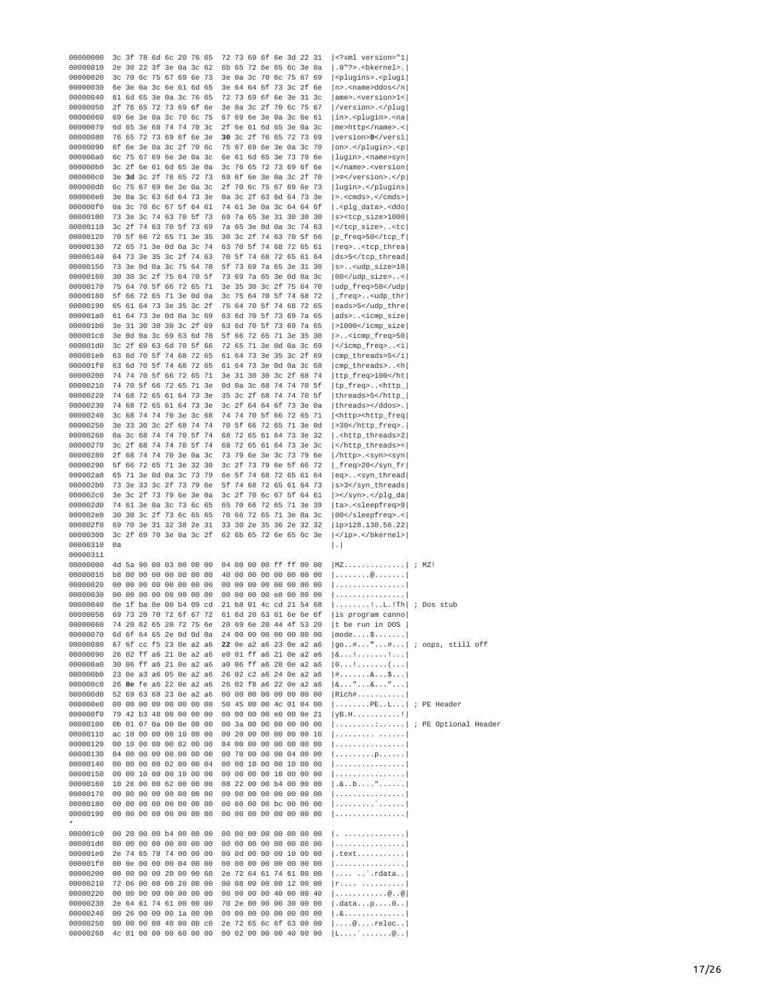| 00000000             |    |          |                         |    |       | 3c 3f 78 6d 6c 20 76 65                            |    |                |       |    |             | 72 73 69 6f 6e 3d 22 31                            |          |  | xml version="1 </th <th></th> <th></th> <th></th>                                                    |            |      |  |
|----------------------|----|----------|-------------------------|----|-------|----------------------------------------------------|----|----------------|-------|----|-------------|----------------------------------------------------|----------|--|------------------------------------------------------------------------------------------------------|------------|------|--|
| 00000010             |    |          |                         |    |       | 2e 30 22 3f 3e 0a 3c 62                            |    |                |       |    |             | 6b 65 72 6e 65 6c 3e 0a                            |          |  | .0"?>. <bkernel>. </bkernel>                                                                         |            |      |  |
| 00000020             |    |          |                         |    |       | 3c 70 6c 75 67 69 6e 73                            |    |                |       |    |             | 3e 0a 3c 70 6c 75 67 69                            |          |  | <plugins>.<plugi <br><math> n&gt;</math>.<name>ddos </name></plugi <br></plugins>                    |            |      |  |
| 00000030<br>00000040 |    |          |                         |    |       | 6e 3e 0a 3c 6e 61 6d 65<br>61 6d 65 3e 0a 3c 76    |    | 65             |       |    |             | 3e 64 64 6f 73 3c 2f 6e<br>72 73 69 6f 6e 3e 31 3c |          |  | $ ame>$ . <version>1&lt;<math> </math></version>                                                     |            |      |  |
| 00000050             |    |          |                         |    |       | 2f 76 65 72 73 69 6f 6e                            |    |                |       |    |             | 3e 0a 3c 2f 70 6c 75 67                            |          |  | /version>. <td></td> <td></td> <td></td>                                                             |            |      |  |
| 00000060             |    |          |                         |    |       | 69 6e 3e 0a 3c 70 6c                               |    | -75            |       |    |             | 67 69 6e 3e 0a 3c 6e 61                            |          |  | in>. <plugin>.<na < td=""><td></td><td></td><td></td></na <></plugin>                                |            |      |  |
| 00000070             |    |          |                         |    |       | 6d 65 3e 68 74 74 70                               |    | 3 <sub>c</sub> |       |    |             | 2f 6e 61 6d 65 3e 0a 3c                            |          |  | $ me>http$ $0.1$ name $> . 1$                                                                        |            |      |  |
| 00000080             |    |          |                         |    |       | 76 65 72 73 69 6f 6e 3e                            |    |                |       |    |             | 30 3c 2f 76 65 72 73 69                            |          |  | version>0 <td></td> <td></td> <td></td>                                                              |            |      |  |
| 00000090             |    |          |                         |    |       | 6f 6e 3e 0a 3c 2f 70 6c                            |    |                |       |    |             | 75 67 69 6e 3e 0a 3c 70                            |          |  | on>.. <p < td=""><td></td><td></td><td></td></p <>                                                   |            |      |  |
| 000000a0<br>000000b0 |    |          |                         |    |       | 6c 75 67 69 6e 3e 0a 3c<br>3c 2f 6e 61 6d 65 3e 0a |    |                |       |    |             | 6e 61 6d 65 3e 73 79 6e<br>3c 76 65 72 73 69 6f 6e |          |  | lugin>. <name>syn <br/><math> \le</math>/name&gt;.<math>\le</math>version<math> \cdot </math></name> |            |      |  |
| 000000c0             |    |          |                         |    |       | 3e 3d 3c 2f 76 65 72 73                            |    |                |       |    |             | 69 6f 6e 3e 0a 3c 2f 70                            |          |  | $ >=$ . <td></td> <td></td> <td></td>                                                                |            |      |  |
| 000000d0             |    |          |                         |    |       | 6c 75 67 69 6e 3e 0a 3c                            |    |                |       |    |             | 2f 70 6c 75 67 69 6e 73                            |          |  | lugin>. <td></td> <td></td> <td></td>                                                                |            |      |  |
| 000000e0             |    |          |                         |    |       | 3e 0a 3c 63 6d 64 73 3e                            |    |                |       |    |             | 0a 3c 2f 63 6d 64 73 3e                            |          |  | $  > .$ <cmds>. </cmds> $ $                                                                          |            |      |  |
| 000000f0             |    |          |                         |    |       | 0a 3c 70 6c 67 5f 64 61                            |    |                |       |    |             | 74 61 3e 0a 3c 64 64 6f                            |          |  | . <plg_data>.<ddo < td=""><td></td><td></td><td></td></ddo <></plg_data>                             |            |      |  |
| 00000100             |    |          |                         |    |       | 73 3e 3c 74 63 70 5f 73                            |    |                |       |    |             | 69 7a 65 3e 31 30 30 30                            |          |  | s> <tcp_size>1000 </tcp_size>                                                                        |            |      |  |
| 00000110<br>00000120 |    |          |                         |    |       | 3c 2f 74 63 70 5f 73 69<br>70 5f 66 72 65 71 3e 35 |    |                |       |    |             | 7a 65 3e 0d 0a 3c 74 63<br>30 3c 2f 74 63 70 5f 66 |          |  | <tc < td=""><td></td><td></td><td></td></tc <>                                                       |            |      |  |
| 00000130             |    |          |                         |    |       | 72 65 71 3e 0d 0a 3c 74                            |    |                |       |    |             | 63 70 5f 74 68 72 65 61                            |          |  | p_freq>50 req> <tcp_threa < td=""><td></td><td></td><td></td></tcp_threa <>                          |            |      |  |
| 00000140             |    |          |                         |    |       | 64 73 3e 35 3c 2f 74 63                            |    |                |       |    |             | 70 5f 74 68 72 65 61 64                            |          |  | ds>5 <td></td> <td></td> <td></td>                                                                   |            |      |  |
| 00000150             |    |          |                         |    |       | 73 3e 0d 0a 3c 75 64 70                            |    |                |       |    |             | 5f 73 69 7a 65 3e 31 30                            |          |  | $ s$ <udp_size>10</udp_size>                                                                         |            |      |  |
| 00000160             |    |          |                         |    |       | 30 30 3c 2f 75 64 70                               |    | -5f            |       |    |             | 73 69 7a 65 3e 0d 0a 3c                            |          |  | $ 00<$ /udp_size>< $ $                                                                               |            |      |  |
| 00000170             |    |          |                         |    |       | 75 64 70 5f 66 72 65 71                            |    |                |       |    |             | 3e 35 30 3c 2f 75 64 70                            |          |  | udp_freq>50 <td></td> <td></td> <td></td>                                                            |            |      |  |
| 00000180<br>00000190 |    |          |                         |    |       | 5f 66 72 65 71 3e 0d 0a<br>65 61 64 73 3e 35 3c 2f |    |                |       |    |             | 3c 75 64 70 5f 74 68 72<br>75 64 70 5f 74 68 72 65 |          |  | _freq> <udp_thr < td=""><td></td><td></td><td></td></udp_thr <>                                      |            |      |  |
| 000001a0             |    |          |                         |    |       | 61 64 73 3e 0d 0a 3c 69                            |    |                |       |    |             | 63 6d 70 5f 73 69 7a 65                            |          |  | eads>5 $ ads> <$ icmp_size $ $                                                                       |            |      |  |
| 000001b0             |    |          |                         |    |       | 3e 31 30 30 30 3c 2f 69                            |    |                |       |    |             | 63 6d 70 5f 73 69 7a 65                            |          |  | >1000 <td></td> <td></td> <td></td>                                                                  |            |      |  |
| 000001c0             |    |          |                         |    |       | 3e 0d 0a 3c 69 63 6d 70                            |    |                |       |    |             | 5f 66 72 65 71 3e 35 30                            |          |  | > <icmp_freq>50 </icmp_freq>                                                                         |            |      |  |
| 000001d0             |    |          |                         |    |       | 3c 2f 69 63 6d 70 5f 66                            |    |                |       |    |             | 72 65 71 3e 0d 0a 3c 69                            |          |  | <i < td=""><td></td><td></td><td></td></i <>                                                         |            |      |  |
| 000001e0             |    |          |                         |    |       | 63 6d 70 5f 74 68 72 65                            |    |                |       |    |             | 61 64 73 3e 35 3c 2f 69                            |          |  | cmp_threads>5 <td></td> <td></td> <td></td>                                                          |            |      |  |
| 000001f0             |    |          |                         |    |       | 63 6d 70 5f 74 68 72 65                            |    |                |       |    |             | 61 64 73 3e 0d 0a 3c 68                            |          |  | $ cmp_{th}$ reads> <h<math> </h<math>                                                                |            |      |  |
| 00000200             |    |          |                         |    |       | 74 74 70 5f 66 72 65 71                            |    |                |       |    |             | 3e 31 30 30 3c 2f 68 74<br>0d 0a 3c 68 74 74 70 5f |          |  | ttp_freq>100 <td></td> <td></td> <td></td>                                                           |            |      |  |
| 00000210<br>00000220 |    |          |                         |    |       | 74 70 5f 66 72 65 71 3e<br>74 68 72 65 61 64 73 3e |    |                |       |    |             | 35 3c 2f 68 74 74 70 5f                            |          |  | tp_freq> <http_ <br> threads&gt;5<td></td><td></td><td></td></http_ <br>                             |            |      |  |
| 00000230             |    |          |                         |    |       | 74 68 72 65 61 64 73 3e                            |    |                |       |    |             | 3c 2f 64 64 6f 73 3e 0a                            |          |  | threads>.                                                                                            |            |      |  |
| 00000240             |    |          |                         |    |       | 3c 68 74 74 70 3e 3c 68                            |    |                |       |    |             | 74 74 70 5f 66 72 65 71                            |          |  | <http><http_freq < td=""><td></td><td></td><td></td></http_freq <></http>                            |            |      |  |
| 00000250             |    |          |                         |    |       | 3e 33 30 3c 2f 68 74 74                            |    |                |       |    |             | 70 5f 66 72 65 71 3e 0d                            |          |  | >30.                                                                                                 |            |      |  |
| 00000260             |    |          |                         |    |       | 0a 3c 68 74 74 70 5f 74                            |    |                |       |    |             | 68 72 65 61 64 73 3e 32                            |          |  | . <http_threads>2 </http_threads>                                                                    |            |      |  |
| 00000270             |    |          |                         |    |       | 3c 2f 68 74 74 70 5f 74                            |    |                |       |    |             | 68 72 65 61 64 73 3e 3c                            |          |  | <                                                                                                    |            |      |  |
| 00000280<br>00000290 |    |          |                         |    |       | 2f 68 74 74 70 3e 0a 3c<br>5f 66 72 65 71 3e 32    |    | -30            |       |    |             | 73 79 6e 3e 3c 73 79 6e<br>3c 2f 73 79 6e 5f 66 72 |          |  | /http>. <syn><syn < td=""><td></td><td></td><td></td></syn <></syn>                                  |            |      |  |
| 000002a0             |    |          |                         |    |       | 65 71 3e 0d 0a 3c 73 79                            |    |                |       |    |             | 6e 5f 74 68 72 65 61 64                            |          |  | _freq>20 eq> <syn_thread < td=""><td></td><td></td><td></td></syn_thread <>                          |            |      |  |
| 000002b0             |    |          |                         |    |       | 73 3e 33 3c 2f 73 79                               |    | <b>6e</b>      |       |    |             | 5f 74 68 72 65 61 64 73                            |          |  | s>3 <td></td> <td></td> <td></td>                                                                    |            |      |  |
| 000002c0             |    |          |                         |    |       | 3e 3c 2f 73 79 6e 3e 0a                            |    |                |       |    |             | 3c 2f 70 6c 67 5f 64 61                            |          |  | >. <td></td> <td></td> <td></td>                                                                     |            |      |  |
| 000002d0             |    |          |                         |    |       | 74 61 3e 0a 3c 73 6c 65                            |    |                |       |    |             | 65 70 66 72 65 71 3e 39                            |          |  | ta>. <sleepfreq>9 </sleepfreq>                                                                       |            |      |  |
| 000002e0             |    |          |                         |    |       | 30 30 3c 2f 73 6c 65 65                            |    |                |       |    |             | 70 66 72 65 71 3e 0a 3c                            |          |  | $ 00< s $ leepfreq $>$ .<                                                                            |            |      |  |
| 000002f0             |    |          |                         |    |       | 69 70 3e 31 32 38 2e 31                            |    |                |       |    |             | 33 30 2e 35 36 2e 32 32                            |          |  | $ i\rangle$ 128.130.56.22                                                                            |            |      |  |
| 00000300<br>00000310 | 0a |          |                         |    |       | 3c 2f 69 70 3e 0a 3c 2f                            |    |                |       |    |             | 62 6b 65 72 6e 65 6c 3e                            |          |  | .                                                                                                    |            |      |  |
| 00000311             |    |          |                         |    |       |                                                    |    |                |       |    |             |                                                    |          |  | $\vert \cdot \vert$                                                                                  |            |      |  |
| 00000000             |    |          |                         |    |       | 4d 5a 90 00 03 00 00                               |    | 00             |       |    |             | 04 00 00 00 ff ff 00 00                            |          |  | $ MZ$ $ $                                                                                            | $\ddot{ }$ | MZ ! |  |
| 00000010             |    |          |                         |    |       | b8 00 00 00 00 00 00 00                            |    |                |       |    |             | 40 00 00 00 00 00 00 00                            |          |  | $  \ldots \ldots \ldots @ \ldots \ldots  $                                                           |            |      |  |
| 00000020             |    |          | 00 00 00 00             |    |       | 00 00 00                                           |    | 00             | 00 00 |    |             | 00 00 00 00 00 00                                  |          |  | .                                                                                                    |            |      |  |
| 00000030             | 00 |          | 00 00 00                |    |       | 00 00 00                                           |    | 00             | 00 00 |    |             | 00 00 e8 00 00 00                                  |          |  | .                                                                                                    |            |      |  |
| 00000040             |    |          |                         |    |       | 0e 1f ba 0e 00 b4 09 cd<br>69 73 20 70 72 6f 67 72 |    |                | 61    |    |             | 21 b8 01 4c cd 21 54 68<br>6d 20 63 61 6e 6e 6f    |          |  | !L.!Th  ; Dos stub                                                                                   |            |      |  |
| 00000050<br>00000060 |    |          |                         |    |       | 74 20 62 65 20 72 75 6e                            |    |                |       |    |             | 20 69 6e 20 44 4f 53 20                            |          |  | is program canno <br> t be run in DOS                                                                |            |      |  |
| 00000070             |    |          |                         |    |       | 6d 6f 64 65 2e 0d 0d 0a                            |    |                |       |    |             | 24 00 00 00 00 00 00 00                            |          |  | $ mode$ \$                                                                                           |            |      |  |
| 00000080             |    |          |                         |    |       | 67 6f cc f5 23 0e a2 a6                            |    |                |       |    |             | 22 0e a2 a6 23 0e a2 a6                            |          |  | $ go#"# $ ; oops, still off                                                                          |            |      |  |
| 00000090             |    |          |                         |    |       | 26 02 ff a6 21 0e a2 a6                            |    |                |       |    |             | e0 01 ff a6 21 0e a2 a6                            |          |  | [8!!]                                                                                                |            |      |  |
| 000000a0             |    |          |                         |    |       | 30 06 ff a6 21 0e a2 a6                            |    |                |       |    |             | a0 06 ff a6 28 0e a2 a6                            |          |  | [0!(]                                                                                                |            |      |  |
| 000000b0             |    |          |                         |    |       | 23 0e a3 a6 05 0e a2 a6                            |    |                |       |    |             | 26 02 c2 a6 24 0e a2 a6                            |          |  | $\vert$ # & \$ $\vert$                                                                               |            |      |  |
| 000000c0             |    |          |                         |    |       | 26 Oe fe a6 22 Oe a2 a6<br>52 69 63 68 23 0e a2 a6 |    |                |       |    |             | 26 02 f8 a6 22 0e a2 a6                            |          |  | $8$ " $8$ "<br>$\lceil$ Rich#                                                                        |            |      |  |
| 000000d0<br>000000e0 |    |          |                         |    |       | 00 00 00 00 00 00 00                               |    | 00             |       |    |             | 00 00 00 00 00 00 00 00<br>50 45 00 00 4c 01 04 00 |          |  | PEL  ; PE Header                                                                                     |            |      |  |
| 000000f0             |    |          |                         |    |       | 79 42 b3 48 00 00 00 00                            |    |                |       |    |             | 00 00 00 00 e0 00 0e 21                            |          |  | $ yB.H$ !                                                                                            |            |      |  |
| 00000100             |    |          |                         |    |       | 0b 01 07 0a 00 0e 00 00                            |    |                |       |    |             | 00 3a 00 00 00 00 00 00                            |          |  | $ $ :  ; PE Optional Header                                                                          |            |      |  |
| 00000110             |    |          |                         |    |       | ac 10 00 00 00 10 00 00                            |    |                |       |    |             | 00 20 00 00 00 00 00 10                            |          |  | 1                                                                                                    |            |      |  |
| 00000120             |    | 00 10 00 |                         | 00 |       | 00 02 00                                           |    | 00             | 04 00 |    | 00 00 00    |                                                    | 00 00 00 |  |                                                                                                      |            |      |  |
| 00000130             |    |          | 04 00 00 00             |    |       | 00 00 00 00                                        |    |                | 00 70 |    |             | 00 00 00 04 00 00                                  |          |  | $  \ldots \ldots \ldots p \ldots \ldots  $                                                           |            |      |  |
| 00000140             |    |          |                         |    | 00 10 | 00 00 00 00 02 00 00 04                            |    | 00             |       |    | 00 00 10    | 00 00 10 00 00 10 00 00                            |          |  | .<br>                                                                                                |            |      |  |
| 00000150<br>00000160 |    | 00 00 10 | 10 26 00 00             | 00 |       | 62 00 00 00                                        | 00 |                | 00 00 |    |             | 08 22 00 00 b4 00 00 00                            | 00 00 00 |  | $  \ldots 0 \ldots 0 \ldots 0 \ldots 0 \ldots 0  $                                                   |            |      |  |
| 00000170             |    |          |                         |    |       | 00 00 00 00 00 00 00 00                            |    |                |       |    |             | 00 00 00 00 00 00 00 00                            |          |  |                                                                                                      |            |      |  |
| 00000180             | 00 |          | 00 00 00                |    | 00 00 |                                                    | 00 | 00             | 00    | 60 |             | 00 00 bc 00 00 00                                  |          |  | ` ]                                                                                                  |            |      |  |
| 00000190             | 00 | 00 00    |                         | 00 |       | 00 00 00                                           |    | 00             | 00 00 |    |             | 00 00 00 00 00 00                                  |          |  |                                                                                                      |            |      |  |
|                      |    |          |                         |    |       |                                                    |    |                |       |    |             |                                                    |          |  |                                                                                                      |            |      |  |
| 000001c0             |    |          |                         |    |       | 00 20 00 00 b4 00 00 00                            |    |                |       |    |             | 00 00 00 00 00 00 00 00                            |          |  | <u> </u>                                                                                             |            |      |  |
| 000001d0<br>000001e0 |    |          |                         |    |       | 00 00 00 00 00 00 00 00<br>2e 74 65 78 74 00 00 00 |    |                |       |    |             | 00 00 00 00 00 00 00 00<br>00 0d 00 00 00 10 00 00 |          |  | .<br>$ \cdot$ text $\dots\dots\dots\dots$                                                            |            |      |  |
| 000001f0             |    |          |                         |    |       | 00 0e 00 00 00 04 00 00                            |    |                |       |    |             | 00 00 00 00 00 00 00 00                            |          |  |                                                                                                      |            |      |  |
| 00000200             |    |          |                         |    |       | 00 00 00 00 20 00 00 60                            |    |                |       |    |             | 2e 72 64 61 74 61 00 00                            |          |  | `.rdata                                                                                              |            |      |  |
| 00000210             |    |          | 72 06 00 00             |    |       | 00 20 00                                           |    | 00             | 00 08 |    |             | 00 00 00 12 00 00                                  |          |  | $ r_1, r_2, r_3, r_4, r_5, r_6, r_7 $                                                                |            |      |  |
| 00000220             |    |          |                         |    |       | 00 00 00 00 00 00 00 00                            |    |                |       |    |             | 00 00 00 00 40 00 00 40                            |          |  | $  \dots \dots \dots \dots @@ $                                                                      |            |      |  |
| 00000230             |    |          |                         |    |       | 2e 64 61 74 61 00 00 00                            |    |                |       |    |             | 70 2e 00 00 00 30 00 00                            |          |  | .datap0                                                                                              |            |      |  |
| 00000240<br>00000250 | 00 |          | 00 26 00 00<br>00 00 00 |    | 40    | 00 1a 00<br>00                                     | 00 | 00<br>cΘ       | 00    |    | 00 00 00 00 | 2e 72 65 6c 6f 63 00 00                            | 00 00 00 |  | .8.                                                                                                  |            |      |  |
| 00000260             |    |          |                         |    |       | 4c 01 00 00 00 60 00 00                            |    |                |       |    |             | 00 02 00 00 00 40 00 00                            |          |  | $  \ldots \emptyset \ldots$ reloc $\ldots  $<br>  L ` @                                              |            |      |  |
|                      |    |          |                         |    |       |                                                    |    |                |       |    |             |                                                    |          |  |                                                                                                      |            |      |  |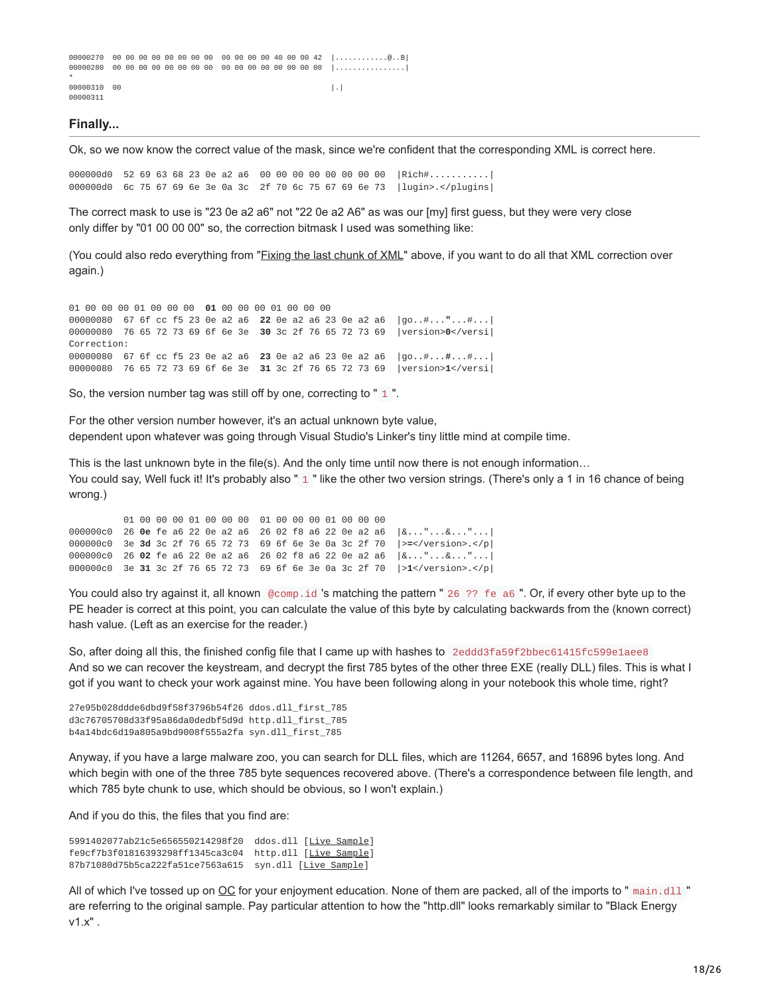```
00000270 00 00 00 00 00 00 00 00 00 00 00 00 40 00 00 42 |............@..B|
00000280 00 00 00 00 00 00 00 00 00 00 00 00 00 00 00 00 |................|
*
00000310 00 |.|
00000311
```
#### **Finally...**

Ok, so we now know the correct value of the mask, since we're confident that the corresponding XML is correct here.

000000d0 52 69 63 68 23 0e a2 a6 00 00 00 00 00 00 00 00 |Rich#...........| 000000d0 6c 75 67 69 6e 3e 0a 3c 2f 70 6c 75 67 69 6e 73 |lugin>.</plugins|

The correct mask to use is "23 0e a2 a6" not "22 0e a2 A6" as was our [my] first guess, but they were very close only differ by "01 00 00 00" so, the correction bitmask I used was something like:

(You could also redo everything from "*[Fixing the last chunk of XML](#page-14-0)*" above, if you want to do all that XML correction over again.)

 00 00 00 01 00 00 00 **01** 00 00 00 01 00 00 00 67 6f cc f5 23 0e a2 a6 **22** 0e a2 a6 23 0e a2 a6 |go..#...**"**...#...| 76 65 72 73 69 6f 6e 3e **30** 3c 2f 76 65 72 73 69 |version>**0**</versi| Correction: 67 6f cc f5 23 0e a2 a6 **23** 0e a2 a6 23 0e a2 a6 |go..#...**#**...#...| 76 65 72 73 69 6f 6e 3e **31** 3c 2f 76 65 72 73 69 |version>**1**</versi|

So, the version number tag was still off by one, correcting to " $1$ ".

For the other version number however, it's an actual unknown byte value, dependent upon whatever was going through Visual Studio's Linker's tiny little mind at compile time.

This is the last unknown byte in the file(s). And the only time until now there is not enough information... You could say, Well fuck it! It's probably also " 1 " like the other two version strings. (There's only a 1 in 16 chance of being wrong.)

01 00 00 00 01 00 00 00 01 00 00 00 01 00 00 00 000000c0 26 **0e** fe a6 22 0e a2 a6 26 02 f8 a6 22 0e a2 a6 |&**.**.."...&..."...| 000000c0 3e **3d** 3c 2f 76 65 72 73 69 6f 6e 3e 0a 3c 2f 70 |>**=**</version>.</p| 000000c0 26 **02** fe a6 22 0e a2 a6 26 02 f8 a6 22 0e a2 a6 |&**.**.."...&..."...| 000000c0 3e **31** 3c 2f 76 65 72 73 69 6f 6e 3e 0a 3c 2f 70 |>**1**</version>.</p|

You could also try against it, all known @comp.id 's matching the pattern " 26 ?? fe a6 ". Or, if every other byte up to the PE header is correct at this point, you can calculate the value of this byte by calculating backwards from the (known correct) hash value. (Left as an exercise for the reader.)

So, after doing all this, the finished config file that I came up with hashes to 2eddd3fa59f2bbec61415fc599e1aee8 And so we can recover the keystream, and decrypt the first 785 bytes of the other three EXE (really DLL) files. This is what I got if you want to check your work against mine. You have been following along in your notebook this whole time, right?

27e95b028ddde6dbd9f58f3796b54f26 ddos.dll\_first\_785 d3c76705708d33f95a86da0dedbf5d9d http.dll\_first\_785 b4a14bdc6d19a805a9bd9008f555a2fa syn.dll\_first\_785

Anyway, if you have a large malware zoo, you can search for DLL files, which are 11264, 6657, and 16896 bytes long. And which begin with one of the three 785 byte sequences recovered above. (There's a correspondence between file length, and which 785 byte chunk to use, which should be obvious, so I won't explain.)

And if you do this, the files that you find are:

5991402077ab21c5e656550214298f20 ddos.dll [Live [Sample\]](https://web.archive.org/web/20140428201836/http://www.offensivecomputing.net/?q=ocsearch&ocq=5991402077ab21c5e656550214298f20) fe9cf7b3f01816393298ff1345ca3c04 http.dll [Live [Sample\]](https://web.archive.org/web/20140428201836/http://www.offensivecomputing.net/?q=ocsearch&ocq=fe9cf7b3f01816393298ff1345ca3c04) 87b71080d75b5ca222fa51ce7563a615 syn.dll [Live [Sample](https://web.archive.org/web/20140428201836/http://www.offensivecomputing.net/?q=ocsearch&ocq=87b71080d75b5ca222fa51ce7563a615)]

All of which I've tossed up on  $OC$  for your enjoyment education. None of them are packed, all of the imports to " main.dll " are referring to the original sample. Pay particular attention to how the "http.dll" looks remarkably similar to "Black Energy v1.x" .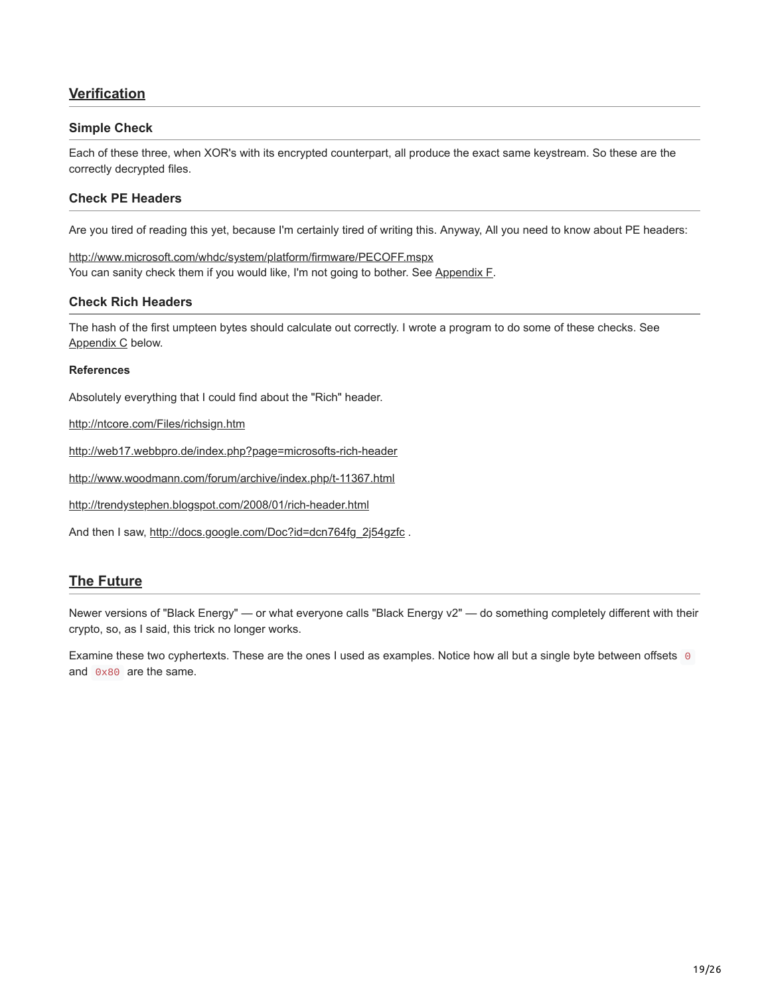## **Verification**

#### **Simple Check**

Each of these three, when XOR's with its encrypted counterpart, all produce the exact same keystream. So these are the correctly decrypted files.

#### **Check PE Headers**

Are you tired of reading this yet, because I'm certainly tired of writing this. Anyway, All you need to know about PE headers:

[http://www.microsoft.com/whdc/system/platform/firmware/PECOFF.mspx](https://web.archive.org/web/20140428201836/http://www.microsoft.com/whdc/system/platform/firmware/PECOFF.mspx) You can sanity check them if you would like, I'm not going to bother. See [Appendix F](#page-24-0).

#### **Check Rich Headers**

The hash of the first umpteen bytes should calculate out correctly. I wrote a program to do some of these checks. See [Appendix C](#page-20-0) below.

#### **References**

Absolutely everything that I could find about the "Rich" header.

[http://ntcore.com/Files/richsign.htm](https://web.archive.org/web/20140428201836/http://ntcore.com/Files/richsign.htm)

[http://web17.webbpro.de/index.php?page=microsofts-rich-header](https://web.archive.org/web/20140428201836/http://web17.webbpro.de/index.php?page=microsofts-rich-header)

[http://www.woodmann.com/forum/archive/index.php/t-11367.html](https://web.archive.org/web/20140428201836/http://www.woodmann.com/forum/archive/index.php/t-11367.html)

[http://trendystephen.blogspot.com/2008/01/rich-header.html](https://web.archive.org/web/20140428201836/http://trendystephen.blogspot.com/2008/01/rich-header.html)

And then I saw, [http://docs.google.com/Doc?id=dcn764fg\\_2j54gzfc](https://web.archive.org/web/20140428201836/http://docs.google.com/Doc?id=dcn764fg_2j54gzfc).

## **The Future**

Newer versions of "Black Energy" — or what everyone calls "Black Energy v2" — do something completely different with their crypto, so, as I said, this trick no longer works.

Examine these two cyphertexts. These are the ones I used as examples. Notice how all but a single byte between offsets 0 and 0x80 are the same.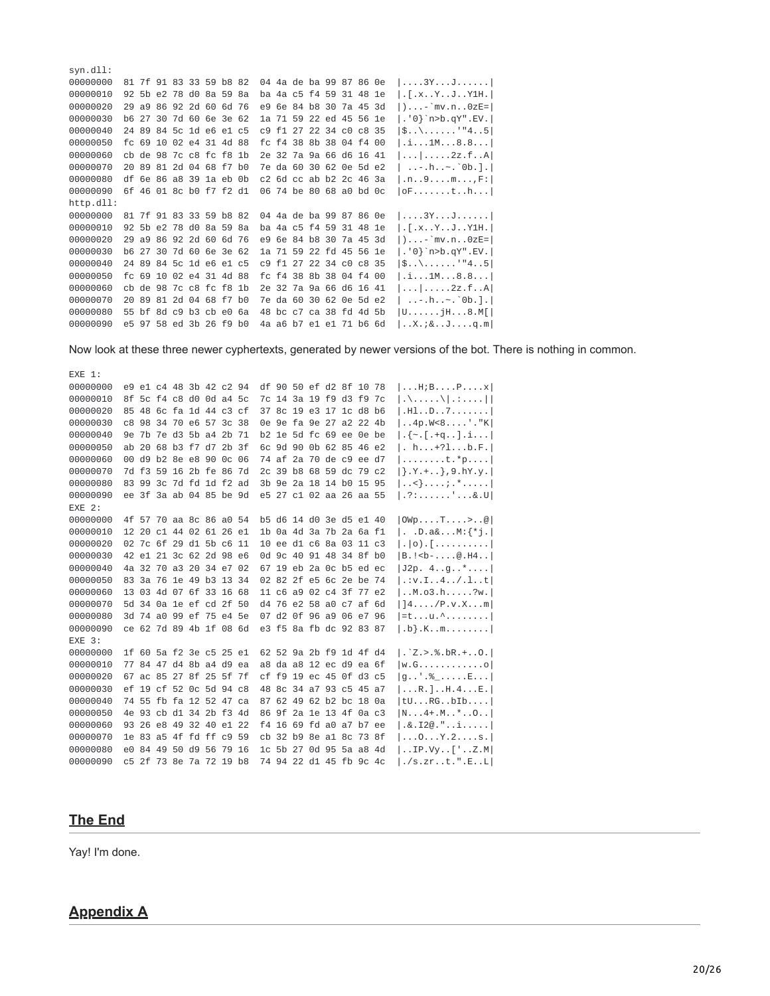| SVN.QII:  |                         |  |  |  |  |                         |  |  |                                          |
|-----------|-------------------------|--|--|--|--|-------------------------|--|--|------------------------------------------|
| 00000000  | 81 7f 91 83 33 59 b8 82 |  |  |  |  | 04 4a de ba 99 87 86 0e |  |  | $  \ldots 3Y \ldots J \ldots \ldots  $   |
| 00000010  | 92 5b e2 78 d0 8a 59 8a |  |  |  |  | ba 4a c5 f4 59 31 48 1e |  |  | . [ . x Y J Y1 H .                       |
| 00000020  | 29 a9 86 92 2d 60 6d 76 |  |  |  |  | e9 6e 84 b8 30 7a 45 3d |  |  | $ $ ) <sup>-</sup> `mv.n0zE=             |
| 00000030  | b6 27 30 7d 60 6e 3e 62 |  |  |  |  | 1a 71 59 22 ed 45 56 1e |  |  | $ . '0\}$ `n>b.qY".EV. $ $               |
| 00000040  | 24 89 84 5c 1d e6 e1 c5 |  |  |  |  | c9 f1 27 22 34 c0 c8 35 |  |  | $ \$\\$ ''45                             |
| 00000050  | fc 69 10 02 e4 31 4d 88 |  |  |  |  | fc f4 38 8b 38 04 f4 00 |  |  | .1.1M.8.8.                               |
| 00000060  | cb de 98 7c c8 fc f8 1b |  |  |  |  | 2e 32 7a 9a 66 d6 16 41 |  |  | $  \ldots   \ldots .2z.f \ldots A  $     |
| 00000070  | 20 89 81 2d 04 68 f7 b0 |  |  |  |  | 7e da 60 30 62 0e 5d e2 |  |  | $   - h  - \cdot 0b. ]$                  |
| 00000080  | df 6e 86 a8 39 1a eb 0b |  |  |  |  | c2 6d cc ab b2 2c 46 3a |  |  | .n9mF:                                   |
| 00000090  | 6f 46 01 8c b0 f7 f2 d1 |  |  |  |  | 06 74 be 80 68 a0 bd 0c |  |  | 0Fth                                     |
| http.dll: |                         |  |  |  |  |                         |  |  |                                          |
| 00000000  | 81 7f 91 83 33 59 b8 82 |  |  |  |  | 04 4a de ba 99 87 86 0e |  |  | $  \ldots 3Y \ldots J \ldots \ldots  $   |
| 00000010  | 92 5b e2 78 d0 8a 59 8a |  |  |  |  | ba 4a c5 f4 59 31 48 1e |  |  | . [ . x Y J Y1 H .                       |
| 00000020  | 29 a9 86 92 2d 60 6d 76 |  |  |  |  | e9 6e 84 b8 30 7a 45 3d |  |  | $ $ <sup>-</sup> mv.n0zE= $ $            |
| 00000030  | b6 27 30 7d 60 6e 3e 62 |  |  |  |  | 1a 71 59 22 fd 45 56 1e |  |  | $ . '0\}$ `n>b.qY".EV. $ $               |
| 00000040  | 24 89 84 5c 1d e6 e1 c5 |  |  |  |  | c9 f1 27 22 34 c0 c8 35 |  |  | $ $\\\\$ "45                             |
| 00000050  | fc 69 10 02 e4 31 4d 88 |  |  |  |  | fc f4 38 8b 38 04 f4 00 |  |  | .1.1M.8.8.                               |
| 00000060  | cb de 98 7c c8 fc f8 1b |  |  |  |  | 2e 32 7a 9a 66 d6 16 41 |  |  | 2z.fA                                    |
| 00000070  | 20 89 81 2d 04 68 f7 b0 |  |  |  |  | 7e da 60 30 62 0e 5d e2 |  |  | $   - h  - \circ b .    $                |
| 00000080  | 55 bf 8d c9 b3 cb e0 6a |  |  |  |  | 48 bc c7 ca 38 fd 4d 5b |  |  | $ U \ldots \ldots jH \ldots 8 \ldots M $ |
| 00000090  | e5 97 58 ed 3b 26 f9 b0 |  |  |  |  | 4a a6 b7 e1 e1 71 b6 6d |  |  | $X$ .;&Jq.m                              |

Now look at these three newer cyphertexts, generated by newer versions of the bot. There is nothing in common.

EXE 1: 00000000 e9 e1 c4 48 3b 42 c2 94 df 90 50 ef d2 8f 10 78 |...H;B....P....x| 00000010 8f 5c f4 c8 d0 0d a4 5c 7c 14 3a 19 f9 d3 f9 7c |.\....\|.:....| 00000020 85 48 6c fa 1d 44 c3 cf 37 8c 19 e3 17 1c d8 b6  $|.H1..D..7.....|$ 00000030 c8 98 34 70 e6 57 3c 38 0e 9e fa 9e 27 a2 22 4b | ..4p.W<8....'."K| 00000040 9e 7b 7e d3 5b a4 2b 71 b2 1e 5d fc 69 ee 0e be |.{~.[.+q..].i...| 00000050 ab 20 68 b3 f7 d7 2b 3f 6c 9d 90 0b 62 85 46 e2 |. h...+?l...b.F.| 00000060 00 d9 b2 8e e8 90 0c 06 74 af 2a 70 de c9 ee d7  $\left[\ldots,\ldots,t,*p,\ldots\right]$ 00000070 7d f3 59 16 2b fe 86 7d 2c 39 b8 68 59 dc 79 c2  $|\}$ . Y. + . . }, 9. hY. y. 00000080 83 99 3c 7d fd 1d f2 ad 3b 9e 2a 18 14 b0 15 95 |..<}....;.\*.....| 00000090 ee 3f 3a ab 04 85 be 9d e5 27 c1 02 aa 26 aa 55 | .?:......'...&.U|  $EXE$  2: 00000000 4f 57 70 aa 8c 86 a0 54 b5 d6 14 d0 3e d5 e1 40 | 0Wp....T....>..@ 00000010 12 20 c1 44 02 61 26 e1 1b 0a 4d 3a 7b 2a 6a f1 |. .D.a&...M:{\*j.| 00000020 02 7c 6f 29 d1 5b c6 11 10 ee d1 c6 8a 03 11 c3  $| \cdot | 0)$ . [..........] 00000030 42 e1 21 3c 62 2d 98 e6 0d 9c 40 91 48 34 8f b0 |B. ! <br ... ... @. H4..| 00000040 4a 32 70 a3 20 34 e7 02 67 19 eb 2a 0c b5 ed ec | J2p. 4..g..\*.... 00000050 83 3a 76 1e 49 b3 13 34 02 82 2f e5 6c 2e be 74 |.: v. I. . 4.. /. l. . t| 00000060 13 03 4d 07 6f 33 16 68 11 c6 a9 02 c4 3f 77 e2 | ..M. o3.h.....?w.l 00000070 5d 34 0a 1e ef cd 2f 50 d4 76 e2 58 a0 c7 af 6d  $|14.../P.v.X...m|$ 00000080 3d 74 a0 99 ef 75 e4 5e 07 d2 0f 96 a9 06 e7 96 |=t...u.^........| 00000090 ce 62 7d 89 4b 1f 08 6d e3 f5 8a fb dc 92 83 87 | .b}.K..m........| EXE 3: 00000000 1f 60 5a f2 3e c5 25 e1 62 52 9a 2b f9 1d 4f d4 | . 2. > . % . bR. + . . 0. | 00000010 77 84 47 d4 8b a4 d9 ea a8 da a8 12 ec d9 ea 6f  $|W.G...............0|$  $|g...$ ' $,\%$ .....E... 00000020 67 ac 85 27 8f 25 5f 7f cf f9 19 ec 45 0f d3 c5 00000030 ef 19 cf 52 0c 5d 94 c8 48 8c 34 a7 93 c5 45 a7  $|...R.]...H.4...E.$ 00000040 74 55 fb fa 12 52 47 ca 87 62 49 62 b2 bc 18 0a |tU...RG..bIb.... 00000050 4e 93 cb d1 34 2b f3 4d 86 9f 2a 1e 13 4f 0a c3 | N...4+.M..\*..O..| 00000060 93 26 e8 49 32 40 e1 22 f4 16 69 fd a0 a7 b7 ee |.&.I2@."..i..... 00000070 1e 83 a5 4f fd ff c9 59 cb 32 b9 8e a1 8c 73 8f  $|...0...Y.2...S.|$ 00000080 e0 84 49 50 d9 56 79 16 1c 5b 27 0d 95 5a a8 4d | .. IP. Vy. . ['.. Z. M| 00000090 c5 2f 73 8e 7a 72 19 b8 74 94 22 d1 45 fb 9c 4c |./s.zr..t.".E..L|

#### **The End**

and and the

Yay! I'm done.

## **Appendix A**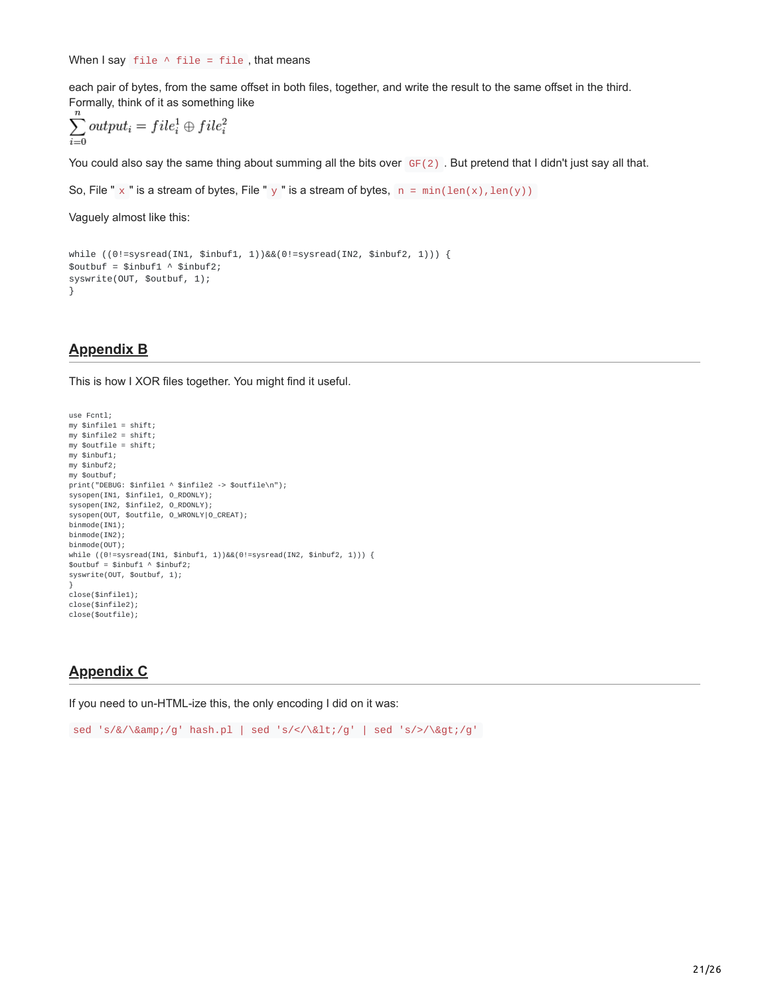When  $Isay$  file  $\wedge$  file = file, that means

each pair of bytes, from the same offset in both files, together, and write the result to the same offset in the third. Formally, think of it as something like

$$
\sum_{i=0}^{n} output_i = file_i^1 \oplus file_i^2
$$

You could also say the same thing about summing all the bits over  $GF(2)$ . But pretend that I didn't just say all that.

```
So, File " \times " is a stream of bytes, File " y " is a stream of bytes, n = min(len(x),len(y))
```
Vaguely almost like this:

```
while ((0!=sysread(IN1, $inbuf1, 1))&&(0!=sysread(IN2, $inbuf2, 1))) {
$outbuf = $inbuf1 \land $inbuf2;syswrite(OUT, $outbuf, 1);
}
```
## **Appendix B**

This is how I XOR files together. You might find it useful.

```
use Fcntl;
my $infile1 = shift;
my $infile2 = shift;
my $outfile = shift;my $inbuf1;
my $inbuf2;
my $outbuf;
print("DEBUG: $infile1 ^ $infile2 -> $outfile\n");
sysopen(IN1, $infile1, O_RDONLY);
sysopen(IN2, $infile2, O_RDONLY);
sysopen(OUT, $outfile, O_WRONLY|O_CREAT);
binmode(IN1);
binmode(IN2);
binmode(OUT);
while ((0!=sysread(IN1, $inbuf1, 1))&&(0!=sysread(IN2, $inbuf2, 1))) {
$outbuf = $inbuf1 \land $inbuf2;syswrite(OUT, $outbuf, 1);
}
close($infile1);
close($infile2);
close($outfile);
```
## <span id="page-20-0"></span>**Appendix C**

If you need to un-HTML-ize this, the only encoding I did on it was:

```
sed 's/&/\&/g' hash.pl | sed 's/</\&lt;/g' | sed 's/>/\&gt;/g'
```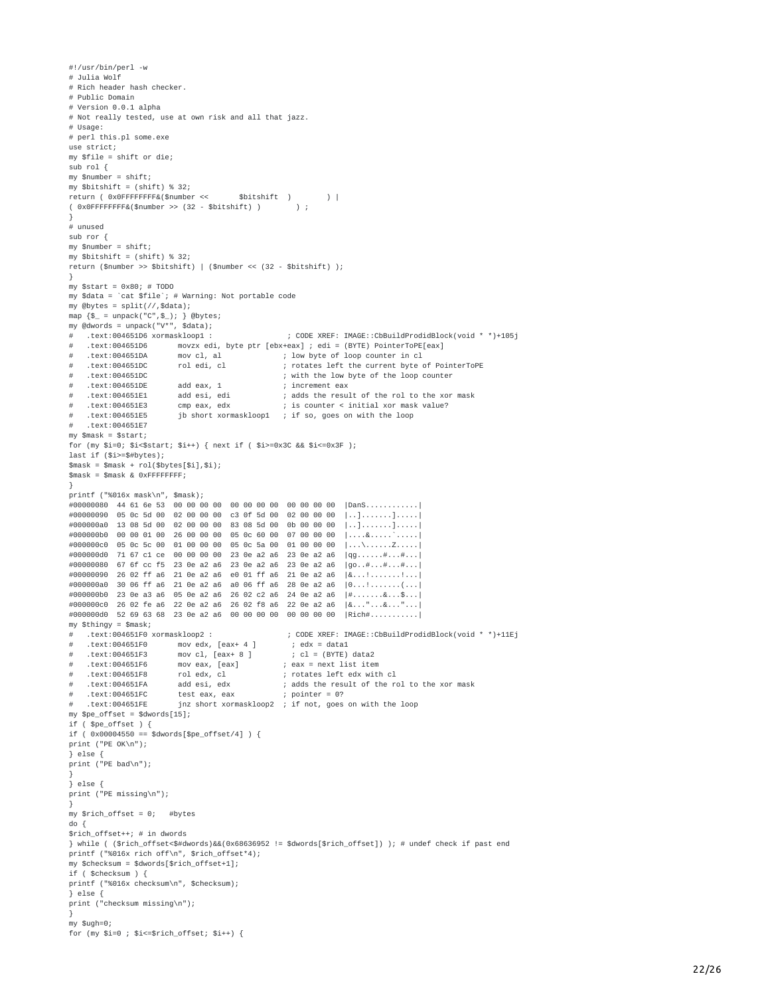#!/usr/bin/perl -w # Julia Wolf # Rich header hash checker. # Public Domain # Version 0.0.1 alpha # Not really tested, use at own risk and all that jazz. # Usage: # perl this.pl some.exe use strict; my  $$file = shift or die$ ; sub  $rol$  {  $my$  \$number = shift; my \$bitshift =  $(shift)$  % 32; \$bitshift ) return ( 0x0FFFFFFFF&(\$number <<  $\rightarrow$  $( 0 \times 0$ FFFFFFF&(\$number >>  $(32 - 3 \times 1)$  $\rightarrow$ # unused sub ror  $\{$  $my$  \$number = shift; my \$bitshift =  $(\text{shift})$  % 32; return (\$number >> \$bitshift) | (\$number <<  $(32 - $bitshift)$ ); my \$start =  $0x80; # T0D0$ my \$data = `cat \$file`; # Warning: Not portable code my @bytes =  $split///$ , \$data); map  $\{\$$  = unpack("C", $\$$ ); } @bytes;<br>my @dwords = unpack("V\*", \$data); # .text:004651D6 xormaskloop1 : ; CODE XREF: IMAGE::CbBuildProdidBlock(void \* \*)+105j .text:004651D6 movzx edi, byte ptr [ebx+eax] ; edi = (BYTE) PointerToPE[eax]  $#$ ; low byte of loop counter in cl text:004651DA. mov cl, al .text:004651DC rol edi, cl ; rotates left the current byte of PointerToPE  $#$ text:004651DC. ; with the low byte of the loop counter .text:004651DE add eax, 1 ; increment eax  $\#$ text:004651E1. add esi, edi ; adds the result of the rol to the xor mask  $\frac{1}{2}$  is counter < initial xor mask value?  $\#$  $t$  ext:  $004651F3$ cmp eax, edx .text:004651E5 jb short xormaskloop1 ; if so, goes on with the loop .text:004651E7 my  $$mask = $start;$ for (my \$i=0; \$i<\$start; \$i++) { next if ( \$i>=0x3C && \$i<=0x3F ); last if  $($i>=$#bytes);$  $\text{Smask} = \text{Smask} + \text{rol}(\text{sbytes}[\text{si}], \text{si});$  $smask = $mask & QxFFFFFFFF;$ printf ("%016x mask\n", \$mask); #00000080 44 61 6e 53 00 00 00 00 00 00 00 00 00 00 00 00 | DanS...........| #00000090 05 0c 5d 00 02 00 00 00 c3 0f 5d 00 02 00 00 00 |..].......]..... #000000a0 13 08 5d 00 02 00 00 00 83 08 5d 00 0b 00 00 00  $1...1.........1......$ #000000b0 00 00 01 00 26 00 00 00 05 0c 60 00 07 00 00 00  $| \ldots$ . &  $\ldots$ .  $\ldots$ . #000000c0 05 0c 5c 00 01 00 00 00 05 0c 5a 00 01 00 00 00  $\left[\ldots\right)\ldots\left[\ldots\right]$ #000000d0 71 67 c1 ce 00 00 00 00 23 0e a2 a6 23 0e a2 a6  $|qq......#...#...$ #00000080 67 6f cc f5 23 0e a2 a6 23 0e a2 a6 23 0e a2 a6  $|90...#...#...#...|$ #00000090 26 02 ff a6 21 0e a2 a6 e0 01 ff a6 21 0e a2 a6  $8...1......1...$ #000000a0 30 06 ff a6 21 0e a2 a6 a0 06 ff a6 28 0e a2 a6 #000000b0 23 0e a3 a6 05 0e a2 a6 26 02 c2 a6 24 0e a2 a6 |#.......&...\$...| #000000c0 26 02 fe a6 22 0e a2 a6 26 02 f8 a6 22 0e a2 a6 |&..."...&..."... #000000d0 52 69 63 68 23 0e a2 a6 00 00 00 00 00 00 00 00 | Rich#.......... my \$thingy =  $$mask;$ # .text:004651F0 xormaskloop2 : ; CODE XREF: IMAGE::CbBuildProdidBlock(void \* \*)+11Ej mov edx,  $[$ eax+ 4  $]$  $;$  edx = data1 text:004651F0. .text:004651F3  $#$ mov cl,  $[$ eax+ 8  $]$ ;  $cl = (BYTE) data2$ text:004651F6. mov eax, [eax] ; eax = next list item text:004651F8. rol edx, cl ; rotates left edx with cl  $#$ .text:004651FA ; adds the result of the rol to the xor mask add esi. edx test eax, eax ; pointer = 0?<br>jnz short xormaskloop2 ; if not, goes on with the loop # .text:004651FC test eax, eax text:004651FE. my  $$pe_offset = $dwords[15];$ if  $($  \$pe\_offset  $)$  { if ( $0x00004550 ==$ \$dwords[\$pe\_offset/4]) {  $print$  ("PE  $OK\n\n\wedge\n\n\wedge"$ );  $\}$  else { print ("PE bad\n");  $\}$  else { print ("PE missing\n"); my \$rich\_offset =  $0;$  #bytes  $do f$  $$rich_offest++; # in dwords$ } while ( (\$rich\_offset<\$#dwords)&&(0x68636952 != \$dwords[\$rich\_offset]) ); # undef check if past end printf ("%016x rich off\n", \$rich\_offset\*4); .<br>my \$checksum = \$dwords[\$rich\_offset+1]; if (\$checksum ) { printf ("%016x checksum\n", \$checksum);  $\frac{1}{2}$  else  $\frac{1}{2}$ print ("checksum missing\n"); з.  $my$  \$ugh=0; for (my  $$i=0$  ;  $$i<=$rich_offset; $i++)$  {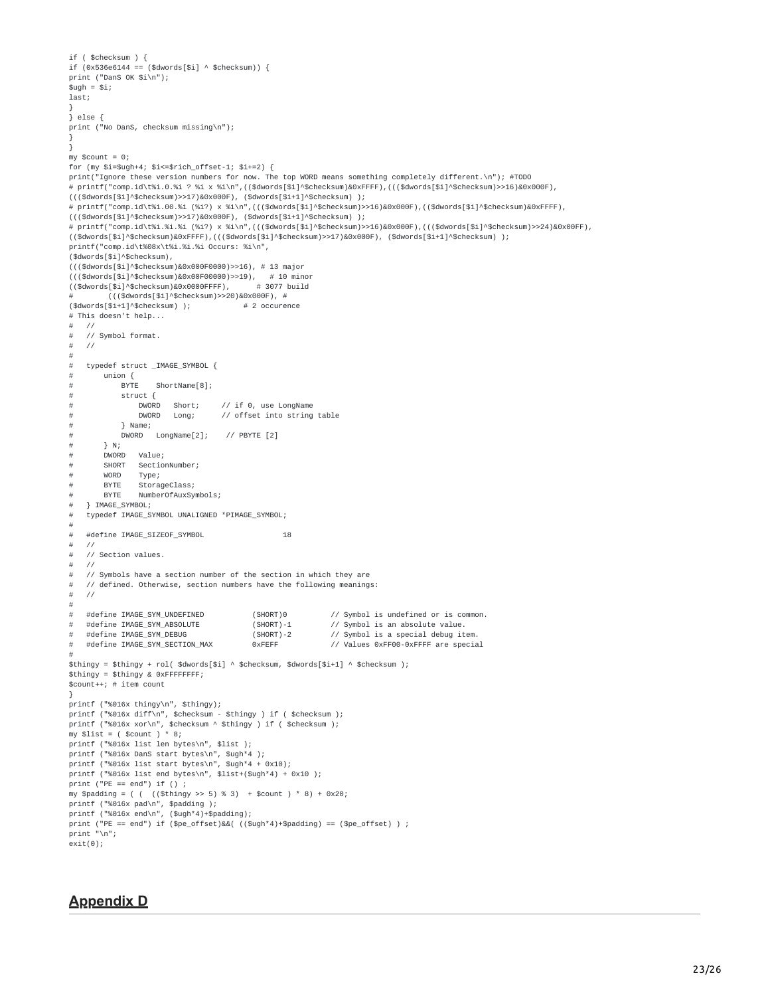```
if ( $checksum ) {
if (0x536e6144 == ($dwords[$i] ^ $checksum)) {
print ("DanS OK $i\n");
$uah = $i:
last;
}
} else {
print ("No DanS, checksum missing\n");
}
}
mv $count = 0:
for (my $i=$ugh+4; $i <= $rich_offset-1; $i+2) {
print("Ignore these version numbers for now. The top WORD means something completely different.\n"); #TODO
# printf("comp.id\t%i.0.%i ? %i x %i\n",(($dwords[$i]^$checksum)&0xFFFF),((($dwords[$i]^$checksum)>>16)&0x000F),
((($dwords[$i]^$checksum)>>17)&0x000F), ($dwords[$i+1]^$checksum) );
# printf("comp.id\t%i.00.%i (%i?) x %i\n",((($dwords[$i]^$checksum)>>16)&0x000F),(($dwords[$i]^$checksum)&0xFFFF),
((\text{tdwords}[\text{si}]\land\text{shecksum})>>17)&0x000F), (\text{tdwords}[\text{si+1}]\land\text{shecksum}) );
# printf("comp.id\t%i.%i.%i (%i?) x %i\n",((($dwords[$i]^$checksum)>>16)&0x000F),((($dwords[$i]^$checksum)>>24)&0x00FF),
(($dwords[$i]^$checksum)&0xFFFF),((($dwords[$i]^$checksum)>>17)&0x000F), ($dwords[$i+1]^$checksum) );
printf("comp.id\t%08x\t%i.%i.%i Occurs: %i\n",
($dwords[$i]^$checksum),
((($dwords[$i]^$checksum)&0x000F0000)>>16), # 13 major
((($dwords[$i]^$checksum)&0x00F00000)>>19), # 10 minor
(($dwords[$i]^s\%checkum)\&0x0000FFFF),...<br># ((($dwords[$i]^$checksum)>>20)&0x000F), #<br>($dwords[$i+11^$checksum) ):         # 2 occurence
($dwords[$i+1]^s\nchecksum) );
# This doesn't help...<br># //
   \frac{1}{2}# // Symbol format.
# //
\##
    typedef struct _IMAGE_SYMBOL {
\# union {<br>\# BYTE
# BYTE ShortName[8];
# struct {<br># DWORD
# DWORD Short; // if 0, use LongName
# DWORD Long; // offset into string table
# } Name;
# DWORD LongName[2]; // PBYTE [2]
# } N;
# DWORD Value;
# SHORT SectionNumber;
# WORD Type;<br># BYTE Storad
# BYTE StorageClass;<br># BYTE NumberOfAuxSy
# BYTE NumberOfAuxSymbols;
    } IMAGE_SYMBOL;
# typedef IMAGE_SYMBOL UNALIGNED *PIMAGE_SYMBOL;
#
# #define IMAGE_SIZEOF_SYMBOL 18<br># //
# //
\# // Section values.<br># //
# //<br># //
    // Symbols have a section number of the section in which they are
# // defined. Otherwise, section numbers have the following meanings:
##
    #define IMAGE_SYM_UNDEFINED (SHORT)0 // Symbol is undefined or is common.<br>#define IMAGE_SYM_ABSOLUTE (SHORT)-1 // Symbol is an absolute value.
# #define IMAGE_SYM_ABSOLUTE (SHORT)-1 // Symbol is an absolute value.
# #define IMAGE_SYM_DEBUG (SHORT)-2 // Symbol is a special debug item.
                                                                 // Values 0xFF00-0xFFFF are special
#
$thingy = $thingy + rol( $dwords[$i] ^ $checksum, $dwords[$i+1] ^ $checksum );
$thingy = $thingy & 0xFFFFFFFF;
$count++; # item count
}
printf ("%016x thingy\n", $thingy);
printf ("%016x diff\n", $checksum - $thingy ) if ( $checksum );
printf ("%016x xor\n", $checksum ^ $thingy ) if ( $checksum );
my $list = ( $count ) * 8;
printf ("%016x list len bytes\n", $list );
printf ("%016x DanS start bytes\n", $ugh*4 );
printf ("%016x list start bytes\n", $ugh*4 + 0x10);
printf ("%016x list end bytes\n", $list+($ugh*4) + 0x10 );
print ("PE == end") if ();
my $padding = ( ( ((\text{Sthingy} > 5) % 3) + \text{Scount} ) * 8) + 0x20;
printf ("%016x pad\n", $padding );
printf ("%016x end\n", ($ugh*4)+$padding);
print ("PE == end") if ($pe_offset)&&( (($ugh*4)+$padding) == ($pe_offset) ) ;
print "\n";
exit(0);
```
## **Appendix D**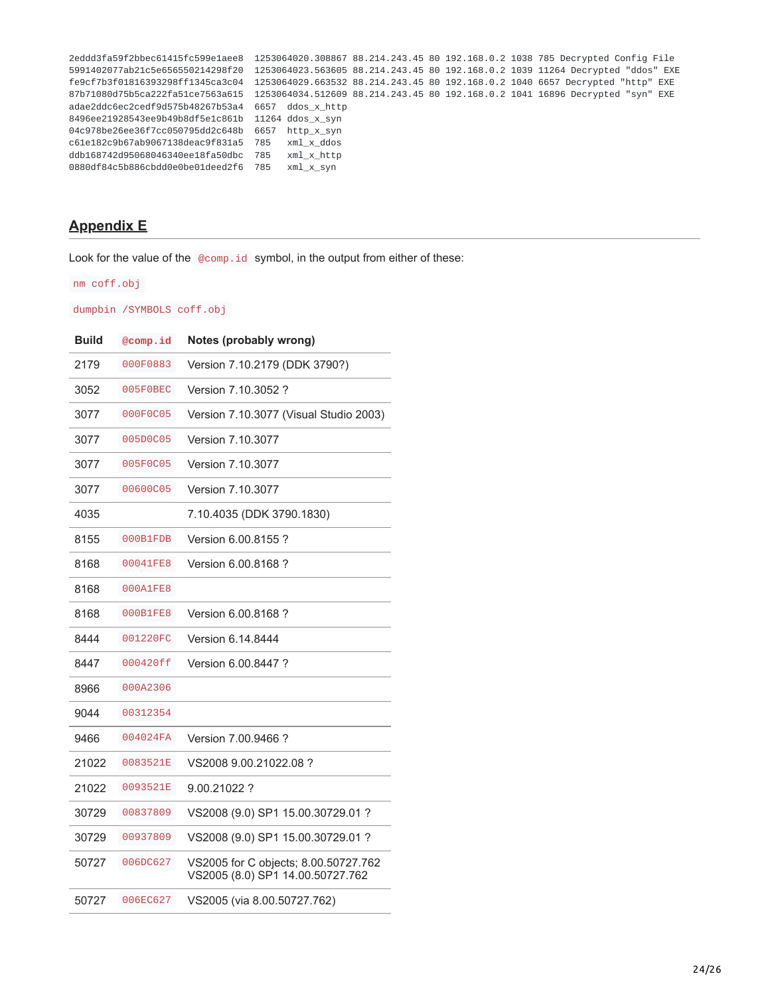| 2eddd3fa59f2bbec61415fc599e1aee8                  |                  |  | 1253064020.308867 88.214.243.45 80 192.168.0.2 1038 785 Decrypted Config File  |
|---------------------------------------------------|------------------|--|--------------------------------------------------------------------------------|
| 5991402077ab21c5e656550214298f20                  |                  |  | 1253064023.563605 88.214.243.45 80 192.168.0.2 1039 11264 Decrypted "ddos" EXE |
| fe9cf7b3f01816393298ff1345ca3c04                  |                  |  | 1253064029.663532 88.214.243.45 80 192.168.0.2 1040 6657 Decrypted "http" EXE  |
| 87b71080d75b5ca222fa51ce7563a615                  |                  |  | 1253064034.512609 88.214.243.45 80 192.168.0.2 1041 16896 Decrypted "syn" EXE  |
| adae2ddc6ec2cedf9d575b48267b53a4                  | 6657 ddos x http |  |                                                                                |
| 8496ee21928543ee9b49b8df5e1c861b 11264 ddos x syn |                  |  |                                                                                |
| 04c978be26ee36f7cc050795dd2c648b 6657             | http x syn       |  |                                                                                |
| c61e182c9b67ab9067138deac9f831a5 785              | xml x ddos       |  |                                                                                |
| ddb168742d95068046340ee18fa50dbc 785              | xml x http       |  |                                                                                |
| 0880df84c5b886cbdd0e0be01deed2f6 785              | xml x syn        |  |                                                                                |

# <span id="page-23-0"></span>**Appendix E**

Look for the value of the @comp.id symbol, in the output from either of these:

nm coff.obj

dumpbin /SYMBOLS coff.obj

| <b>Build</b> | @comp.id | Notes (probably wrong)                                                   |
|--------------|----------|--------------------------------------------------------------------------|
| 2179         | 000F0883 | Version 7.10.2179 (DDK 3790?)                                            |
| 3052         | 005F0BEC | Version 7.10.3052 ?                                                      |
| 3077         | 000F0C05 | Version 7.10.3077 (Visual Studio 2003)                                   |
| 3077         | 005D0C05 | Version 7.10.3077                                                        |
| 3077         | 005F0C05 | <b>Version 7.10.3077</b>                                                 |
| 3077         | 00600C05 | Version 7.10.3077                                                        |
| 4035         |          | 7.10.4035 (DDK 3790.1830)                                                |
| 8155         | 000B1FDB | Version 6.00.8155?                                                       |
| 8168         | 00041FE8 | Version 6.00.8168?                                                       |
| 8168         | 000A1FE8 |                                                                          |
| 8168         | 000B1FE8 | Version 6.00.8168?                                                       |
| 8444         | 001220FC | Version 6.14.8444                                                        |
| 8447         | 000420ff | Version 6.00.8447 ?                                                      |
| 8966         | 000A2306 |                                                                          |
| 9044         | 00312354 |                                                                          |
| 9466         | 004024FA | Version 7.00.9466 ?                                                      |
| 21022        | 0083521E | VS2008 9.00.21022.08 ?                                                   |
| 21022        | 0093521E | 9.00.21022 ?                                                             |
| 30729        | 00837809 | VS2008 (9.0) SP1 15.00.30729.01 ?                                        |
| 30729        | 00937809 | VS2008 (9.0) SP1 15.00.30729.01 ?                                        |
| 50727        | 006DC627 | VS2005 for C objects; 8.00.50727.762<br>VS2005 (8.0) SP1 14.00.50727.762 |
| 50727        | 006EC627 | VS2005 (via 8.00.50727.762)                                              |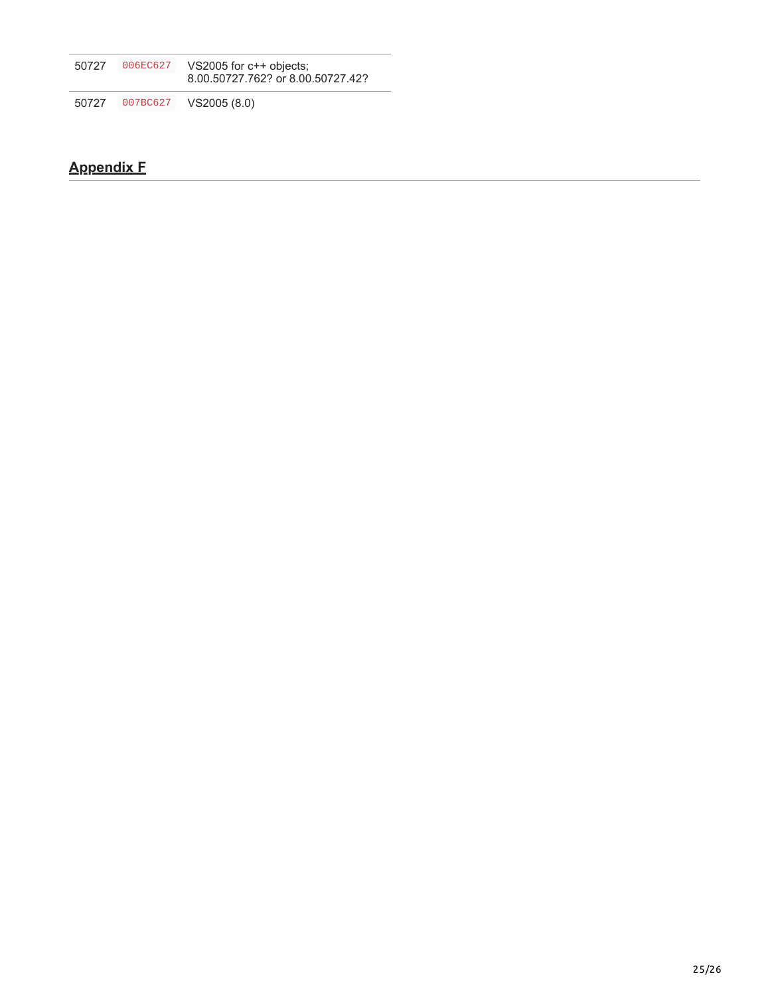| 50727 | 006EC627 | VS2005 for c++ objects;<br>8.00.50727.762? or 8.00.50727.42? |
|-------|----------|--------------------------------------------------------------|
| 50727 | 007BC627 | VS2005 (8.0)                                                 |

# <span id="page-24-0"></span>**Appendix F**